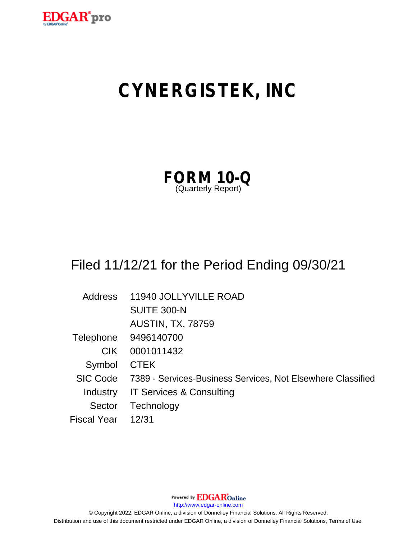

# **CYNERGISTEK, INC**

| <b>FORM 10-Q</b>   |  |  |
|--------------------|--|--|
| (Quarterly Report) |  |  |

## Filed 11/12/21 for the Period Ending 09/30/21

- Address 11940 JOLLYVILLE ROAD
	- SUITE 300-N
	- AUSTIN, TX, 78759
- Telephone 9496140700
	- CIK 0001011432
	- Symbol CTEK
- SIC Code 7389 Services-Business Services, Not Elsewhere Classified
	- Industry IT Services & Consulting
- Sector Technology
- Fiscal Year 12/31

Powered By **EDGAR**Online

http://www.edgar-online.com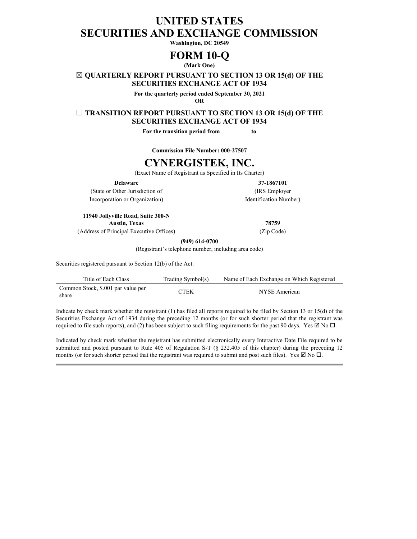## **UNITED STATES SECURITIES AND EXCHANGE COMMISSION Washington, DC 20549**

## **FORM 10-Q**

## **(Mark One)**

## ☒ **QUARTERLY REPORT PURSUANT TO SECTION 13 OR 15(d) OF THE SECURITIES EXCHANGE ACT OF 1934**

**For the quarterly period ended September 30, 2021**

**OR**

## ☐ **TRANSITION REPORT PURSUANT TO SECTION 13 OR 15(d) OF THE SECURITIES EXCHANGE ACT OF 1934**

## **CYNERGISTEK, INC.**

|                                                             | 9ECUNTIES EACHARGE ACT OF 1794                                           |                                                                                                                                                                                                                                                                                                                                                                                            |
|-------------------------------------------------------------|--------------------------------------------------------------------------|--------------------------------------------------------------------------------------------------------------------------------------------------------------------------------------------------------------------------------------------------------------------------------------------------------------------------------------------------------------------------------------------|
|                                                             | For the transition period from                                           | to                                                                                                                                                                                                                                                                                                                                                                                         |
|                                                             | <b>Commission File Number: 000-27507</b>                                 |                                                                                                                                                                                                                                                                                                                                                                                            |
|                                                             | <b>CYNERGISTEK, INC.</b>                                                 |                                                                                                                                                                                                                                                                                                                                                                                            |
|                                                             | (Exact Name of Registrant as Specified in Its Charter)                   |                                                                                                                                                                                                                                                                                                                                                                                            |
| <b>Delaware</b>                                             |                                                                          | 37-1867101                                                                                                                                                                                                                                                                                                                                                                                 |
| (State or Other Jurisdiction of                             |                                                                          | (IRS Employer                                                                                                                                                                                                                                                                                                                                                                              |
| Incorporation or Organization)                              |                                                                          | Identification Number)                                                                                                                                                                                                                                                                                                                                                                     |
| 11940 Jollyville Road, Suite 300-N                          |                                                                          |                                                                                                                                                                                                                                                                                                                                                                                            |
| <b>Austin, Texas</b>                                        |                                                                          | 78759                                                                                                                                                                                                                                                                                                                                                                                      |
| (Address of Principal Executive Offices)                    |                                                                          | (Zip Code)                                                                                                                                                                                                                                                                                                                                                                                 |
|                                                             | $(949)$ 614-0700<br>(Registrant's telephone number, including area code) |                                                                                                                                                                                                                                                                                                                                                                                            |
|                                                             |                                                                          |                                                                                                                                                                                                                                                                                                                                                                                            |
| Securities registered pursuant to Section 12(b) of the Act: |                                                                          |                                                                                                                                                                                                                                                                                                                                                                                            |
| Title of Each Class                                         | Trading Symbol(s)                                                        | Name of Each Exchange on Which Registered                                                                                                                                                                                                                                                                                                                                                  |
| Common Stock, \$.001 par value per<br>share                 | <b>CTEK</b>                                                              | NYSE American                                                                                                                                                                                                                                                                                                                                                                              |
|                                                             |                                                                          | Indicate by check mark whether the registrant (1) has filed all reports required to be filed by Section 13 or 15(d) of the<br>Securities Exchange Act of 1934 during the preceding 12 months (or for such shorter period that the registrant was<br>required to file such reports), and (2) has been subject to such filing requirements for the past 90 days. Yes $\boxtimes$ No $\Box$ . |
|                                                             |                                                                          | Indicated by check mark whether the registrant has submitted electronically every Interactive Date File required to be<br>submitted and posted pursuant to Rule 405 of Regulation S-T (§ 232.405 of this chapter) during the preceding 12                                                                                                                                                  |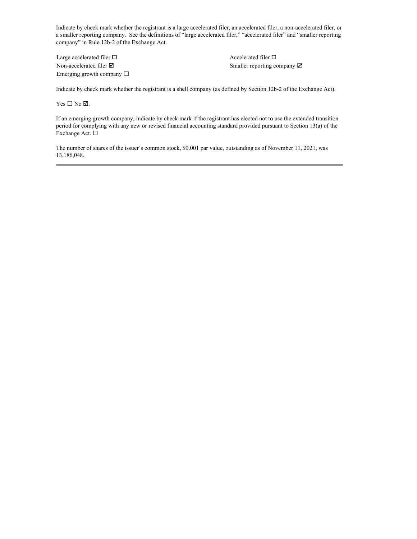Indicate by check mark whether the registrant is a large accelerated filer, an accelerated filer, a non-accelerated filer, or a smaller reporting company. See the definitions of "large accelerated filer," "accelerated filer" and "smaller reporting company" in Rule 12b-2 of the Exchange Act.

Large accelerated filer  $\Box$  Accelerated filer  $\Box$ Non-accelerated filer  $\boxtimes$  Smaller reporting company  $\boxtimes$ Emerging growth company  $\Box$ 

Indicate by check mark whether the registrant is a shell company (as defined by Section 12b-2 of the Exchange Act).

Yes  $\Box$  No  $\Box$ .

If an emerging growth company, indicate by check mark if the registrant has elected not to use the extended transition period for complying with any new or revised financial accounting standard provided pursuant to Section 13(a) of the Exchange Act.  $\square$ 

The number of shares of the issuer's common stock, \$0.001 par value, outstanding as of November 11, 2021, was 13,186,048.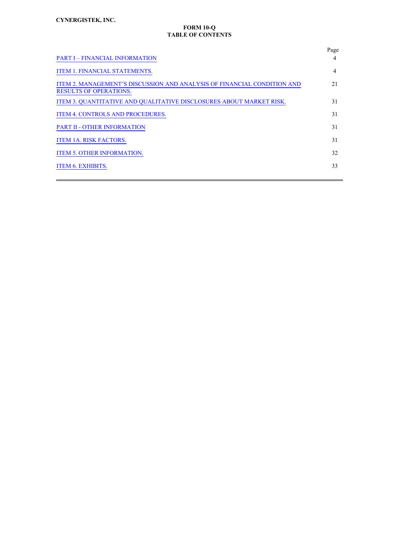## **FORM 10-Q TABLE OF CONTENTS**

<span id="page-3-0"></span>

|                                                                                                          | Page |  |
|----------------------------------------------------------------------------------------------------------|------|--|
| <b>PART I - FINANCIAL INFORMATION</b>                                                                    |      |  |
| <b>ITEM 1. FINANCIAL STATEMENTS.</b>                                                                     | 4    |  |
| ITEM 2. MANAGEMENT'S DISCUSSION AND ANALYSIS OF FINANCIAL CONDITION AND<br><b>RESULTS OF OPERATIONS.</b> | 21   |  |
| ITEM 3. QUANTITATIVE AND QUALITATIVE DISCLOSURES ABOUT MARKET RISK.                                      | 31   |  |
| ITEM 4. CONTROLS AND PROCEDURES.                                                                         | 31   |  |
| <b>PART II - OTHER INFORMATION</b>                                                                       | 31   |  |
| <b>ITEM 1A. RISK FACTORS.</b>                                                                            | 31   |  |
| <b>ITEM 5. OTHER INFORMATION.</b>                                                                        | 32   |  |
| <b>ITEM 6. EXHIBITS.</b>                                                                                 | 33   |  |
|                                                                                                          |      |  |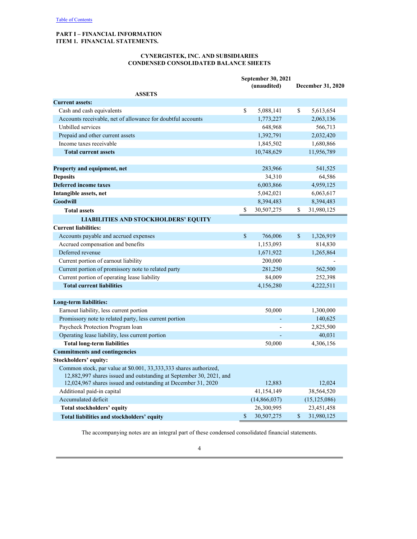## <span id="page-4-1"></span><span id="page-4-0"></span>**PART I – FINANCIAL INFORMATION ITEM 1. FINANCIAL STATEMENTS.**

## **CYNERGISTEK, INC. AND SUBSIDIARIES CONDENSED CONSOLIDATED BALANCE SHEETS**

|                                                                                                                                          | September 30, 2021<br>(unaudited) |                |                    | <b>December 31, 2020</b> |  |  |
|------------------------------------------------------------------------------------------------------------------------------------------|-----------------------------------|----------------|--------------------|--------------------------|--|--|
| <b>ASSETS</b>                                                                                                                            |                                   |                |                    |                          |  |  |
| <b>Current assets:</b>                                                                                                                   |                                   |                |                    |                          |  |  |
| Cash and cash equivalents                                                                                                                | \$                                | 5,088,141      | \$                 | 5,613,654                |  |  |
| Accounts receivable, net of allowance for doubtful accounts                                                                              |                                   | 1,773,227      |                    | 2,063,136                |  |  |
| Unbilled services                                                                                                                        |                                   | 648,968        |                    | 566,713                  |  |  |
| Prepaid and other current assets                                                                                                         |                                   | 1,392,791      |                    | 2,032,420                |  |  |
| Income taxes receivable                                                                                                                  |                                   | 1,845,502      |                    | 1,680,866                |  |  |
| <b>Total current assets</b>                                                                                                              |                                   | 10,748,629     |                    | 11,956,789               |  |  |
|                                                                                                                                          |                                   |                |                    |                          |  |  |
| Property and equipment, net                                                                                                              |                                   | 283,966        |                    | 541,525                  |  |  |
| <b>Deposits</b>                                                                                                                          |                                   | 34,310         |                    | 64,586                   |  |  |
| <b>Deferred income taxes</b>                                                                                                             |                                   | 6,003,866      |                    | 4,959,125                |  |  |
| Intangible assets, net                                                                                                                   |                                   | 5,042,021      |                    | 6,063,617                |  |  |
| <b>Goodwill</b>                                                                                                                          |                                   | 8,394,483      |                    | 8,394,483                |  |  |
| <b>Total assets</b>                                                                                                                      | \$                                | 30,507,275     | \$                 | 31,980,125               |  |  |
| <b>LIABILITIES AND STOCKHOLDERS' EQUITY</b>                                                                                              |                                   |                |                    |                          |  |  |
| <b>Current liabilities:</b>                                                                                                              |                                   |                |                    |                          |  |  |
| Accounts payable and accrued expenses                                                                                                    | $\sqrt{\ }$                       | 766,006        | $\mathbf{\hat{s}}$ | 1,326,919                |  |  |
| Accrued compensation and benefits                                                                                                        |                                   | 1,153,093      |                    | 814,830                  |  |  |
| Deferred revenue                                                                                                                         |                                   |                |                    |                          |  |  |
|                                                                                                                                          |                                   | 1,671,922      |                    | 1,265,864                |  |  |
| Current portion of earnout liability                                                                                                     |                                   | 200,000        |                    |                          |  |  |
| Current portion of promissory note to related party                                                                                      |                                   | 281,250        |                    | 562,500                  |  |  |
| Current portion of operating lease liability                                                                                             |                                   | 84,009         |                    | 252,398                  |  |  |
| <b>Total current liabilities</b>                                                                                                         |                                   | 4,156,280      |                    | 4,222,511                |  |  |
| Long-term liabilities:                                                                                                                   |                                   |                |                    |                          |  |  |
| Earnout liability, less current portion                                                                                                  |                                   | 50,000         |                    | 1,300,000                |  |  |
| Promissory note to related party, less current portion                                                                                   |                                   |                |                    | 140,625                  |  |  |
| Paycheck Protection Program loan                                                                                                         |                                   |                |                    | 2,825,500                |  |  |
| Operating lease liability, less current portion                                                                                          |                                   |                |                    | 40,031                   |  |  |
|                                                                                                                                          |                                   |                |                    |                          |  |  |
| <b>Total long-term liabilities</b>                                                                                                       |                                   | 50,000         |                    | 4,306,156                |  |  |
| <b>Commitments and contingencies</b>                                                                                                     |                                   |                |                    |                          |  |  |
| Stockholders' equity:                                                                                                                    |                                   |                |                    |                          |  |  |
| Common stock, par value at \$0.001, 33,333,333 shares authorized,<br>12,882,997 shares issued and outstanding at September 30, 2021, and |                                   |                |                    |                          |  |  |
| 12,024,967 shares issued and outstanding at December 31, 2020                                                                            |                                   | 12,883         |                    | 12,024                   |  |  |
| Additional paid-in capital                                                                                                               |                                   | 41,154,149     |                    | 38,564,520               |  |  |
| Accumulated deficit                                                                                                                      |                                   | (14, 866, 037) |                    | (15, 125, 086)           |  |  |
| Total stockholders' equity                                                                                                               |                                   | 26,300,995     |                    | 23,451,458               |  |  |
|                                                                                                                                          | $\mathbb{S}$                      | 30,507,275     | \$                 | 31,980,125               |  |  |
| Total liabilities and stockholders' equity                                                                                               |                                   |                |                    |                          |  |  |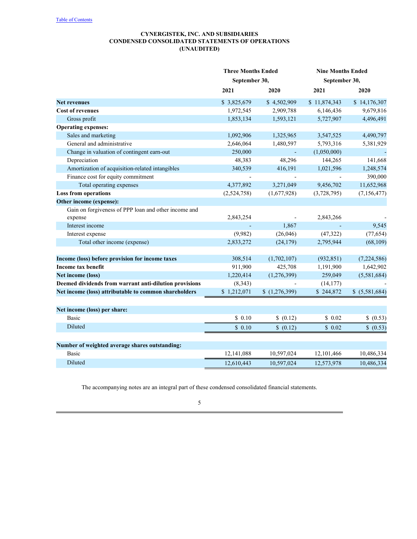## **CYNERGISTEK, INC. AND SUBSIDIARIES CONDENSED CONSOLIDATED STATEMENTS OF OPERATIONS (UNAUDITED)**

|                                                        | <b>Three Months Ended</b> |             | <b>Nine Months Ended</b> |               |  |  |
|--------------------------------------------------------|---------------------------|-------------|--------------------------|---------------|--|--|
|                                                        | September 30,             |             | September 30,            |               |  |  |
|                                                        | 2021                      | 2020        | 2021                     | 2020          |  |  |
| <b>Net revenues</b>                                    | \$3,825,679               | \$4,502,909 | \$11,874,343             | \$14,176,307  |  |  |
| <b>Cost of revenues</b>                                | 1,972,545                 | 2,909,788   | 6,146,436                | 9,679,816     |  |  |
| Gross profit                                           | 1,853,134                 | 1,593,121   | 5,727,907                | 4,496,491     |  |  |
| <b>Operating expenses:</b>                             |                           |             |                          |               |  |  |
| Sales and marketing                                    | 1,092,906                 | 1,325,965   | 3,547,525                | 4,490,797     |  |  |
| General and administrative                             | 2,646,064                 | 1,480,597   | 5,793,316                | 5,381,929     |  |  |
| Change in valuation of contingent earn-out             | 250,000                   |             | (1,050,000)              |               |  |  |
| Depreciation                                           | 48,383                    | 48,296      | 144,265                  | 141,668       |  |  |
| Amortization of acquisition-related intangibles        | 340,539                   | 416,191     | 1,021,596                | 1,248,574     |  |  |
| Finance cost for equity commitment                     |                           |             |                          | 390,000       |  |  |
| Total operating expenses                               | 4,377,892                 | 3,271,049   | 9,456,702                | 11,652,968    |  |  |
| <b>Loss from operations</b>                            | (2,524,758)               | (1,677,928) | (3,728,795)              | (7, 156, 477) |  |  |
| Other income (expense):                                |                           |             |                          |               |  |  |
| Gain on forgiveness of PPP loan and other income and   |                           |             |                          |               |  |  |
| expense                                                | 2,843,254                 |             | 2,843,266                |               |  |  |
| Interest income                                        |                           | 1,867       |                          | 9,545         |  |  |
| Interest expense                                       | (9,982)                   | (26,046)    | (47, 322)                | (77, 654)     |  |  |
| Total other income (expense)                           | 2,833,272                 | (24, 179)   | 2,795,944                | (68, 109)     |  |  |
|                                                        |                           |             |                          |               |  |  |
| Income (loss) before provision for income taxes        | 308,514                   | (1,702,107) | (932, 851)               | (7,224,586)   |  |  |
| Income tax benefit                                     | 911,900                   | 425,708     | 1,191,900                | 1,642,902     |  |  |
| Net income (loss)                                      | 1,220,414                 | (1,276,399) | 259,049                  | (5,581,684)   |  |  |
| Deemed dividends from warrant anti-dilution provisions | (8,343)                   |             | (14, 177)                |               |  |  |
| Net income (loss) attributable to common shareholders  | \$1,212,071               | (1,276,399) | \$244,872                | \$(5,581,684) |  |  |
|                                                        |                           |             |                          |               |  |  |
| Net income (loss) per share:                           |                           |             |                          |               |  |  |
| <b>Basic</b>                                           | \$0.10                    | \$ (0.12)   | \$0.02                   | \$ (0.53)     |  |  |
| Diluted                                                | \$0.10                    | \$ (0.12)   | \$0.02                   | \$ (0.53)     |  |  |
|                                                        |                           |             |                          |               |  |  |
| Number of weighted average shares outstanding:         |                           |             |                          |               |  |  |
| <b>Basic</b>                                           | 12,141,088                | 10,597,024  | 12,101,466               | 10,486,334    |  |  |
| Diluted                                                | 12,610,443                | 10,597,024  | 12,573,978               | 10,486,334    |  |  |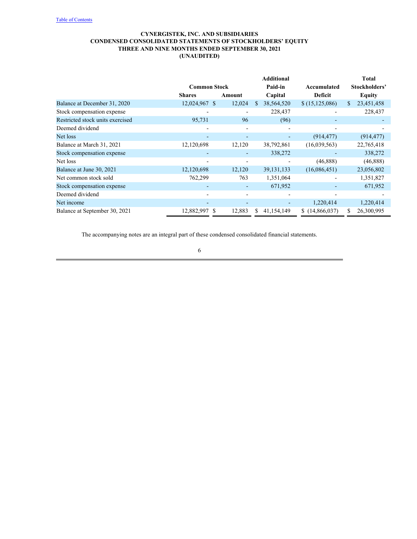## **CYNERGISTEK, INC. AND SUBSIDIARIES CONDENSED CONSOLIDATED STATEMENTS OF STOCKHOLDERS' EQUITY THREE AND NINE MONTHS ENDED SEPTEMBER 30, 2021 (UNAUDITED)**

|                                  |                          |                          | <b>Additional</b>          |                          | Total                    |
|----------------------------------|--------------------------|--------------------------|----------------------------|--------------------------|--------------------------|
|                                  | <b>Common Stock</b>      |                          | Paid-in                    | Accumulated              | Stockholders'            |
|                                  | <b>Shares</b>            | Amount                   | Capital                    | Deficit                  | <b>Equity</b>            |
| Balance at December 31, 2020     | 12,024,967 \$            | 12,024                   | 38,564,520<br><sup>S</sup> | \$(15, 125, 086)         | 23,451,458<br>S.         |
| Stock compensation expense       |                          |                          | 228,437                    |                          | 228,437                  |
| Restricted stock units exercised | 95,731                   | 96                       | (96)                       |                          | ٠                        |
| Deemed dividend                  | $\overline{\phantom{0}}$ | $\overline{\phantom{0}}$ | $\overline{\phantom{a}}$   | $\overline{\phantom{0}}$ | $\overline{\phantom{0}}$ |
| Net loss                         |                          |                          | ٠                          | (914, 477)               | (914, 477)               |
| Balance at March 31, 2021        | 12,120,698               | 12,120                   | 38,792,861                 | (16,039,563)             | 22,765,418               |
| Stock compensation expense       | $\overline{\phantom{0}}$ | $\overline{\phantom{a}}$ | 338,272                    |                          | 338,272                  |
| Net loss                         |                          |                          | $\overline{\phantom{a}}$   | (46,888)                 | (46,888)                 |
| Balance at June 30, 2021         | 12,120,698               | 12,120                   | 39, 131, 133               | (16,086,451)             | 23,056,802               |
| Net common stock sold            | 762,299                  | 763                      | 1,351,064                  |                          | 1,351,827                |
| Stock compensation expense       | $\overline{\phantom{0}}$ | $\overline{\phantom{a}}$ | 671,952                    |                          | 671,952                  |
| Deemed dividend                  | $\overline{\phantom{0}}$ |                          | $\overline{\phantom{0}}$   |                          |                          |
| Net income                       |                          |                          | $\overline{\phantom{0}}$   | 1,220,414                | 1,220,414                |
| Balance at September 30, 2021    | 12,882,997 \$            | 12,883                   | 41,154,149<br>S.           | \$(14,866,037)           | 26,300,995               |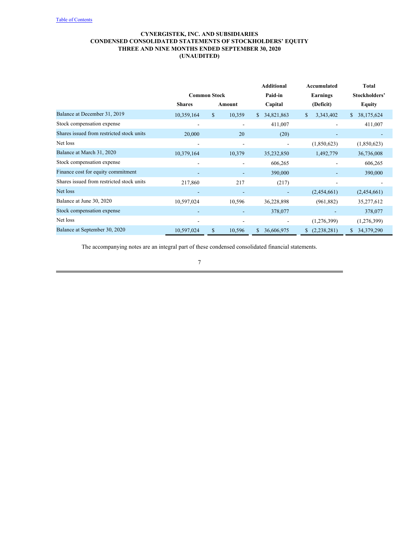## **CYNERGISTEK, INC. AND SUBSIDIARIES CONDENSED CONSOLIDATED STATEMENTS OF STOCKHOLDERS' EQUITY THREE AND NINE MONTHS ENDED SEPTEMBER 30, 2020 (UNAUDITED)**

|                                           |                |                     |        | <b>Additional</b>          |                          |    | Accumulated              |              | Total         |
|-------------------------------------------|----------------|---------------------|--------|----------------------------|--------------------------|----|--------------------------|--------------|---------------|
|                                           |                | <b>Common Stock</b> |        | Paid-in                    |                          |    | Earnings                 |              | Stockholders' |
|                                           | <b>Shares</b>  |                     | Amount | Capital                    |                          |    | (Deficit)                |              | <b>Equity</b> |
| Balance at December 31, 2019              | 10,359,164     |                     | 10,359 | 34,821,863<br>S.           |                          | S. | 3,343,402                | \$38,175,624 |               |
| Stock compensation expense                | $\blacksquare$ |                     |        |                            | 411,007                  |    | $\overline{\phantom{a}}$ |              | 411,007       |
| Shares issued from restricted stock units | 20,000         |                     | 20     |                            | (20)                     |    | ٠                        |              |               |
| Net loss                                  |                |                     |        |                            |                          |    | (1,850,623)              |              | (1,850,623)   |
| Balance at March 31, 2020                 | 10,379,164     |                     | 10,379 | 35,232,850                 |                          |    | 1,492,779                |              | 36,736,008    |
| Stock compensation expense                |                |                     |        |                            | 606,265                  |    | $\overline{\phantom{a}}$ |              | 606,265       |
| Finance cost for equity commitment        | ٠              |                     |        |                            | 390,000                  |    | $\sim$                   |              | 390,000       |
| Shares issued from restricted stock units | 217,860        |                     | 217    |                            | (217)                    |    | $\overline{\phantom{a}}$ |              |               |
| Net loss                                  |                |                     |        |                            | $\overline{\phantom{a}}$ |    | (2,454,661)              |              | (2,454,661)   |
| Balance at June 30, 2020                  | 10,597,024     |                     | 10,596 | 36,228,898                 |                          |    | (961, 882)               |              | 35,277,612    |
| Stock compensation expense                |                |                     |        |                            | 378,077                  |    |                          |              | 378,077       |
| Net loss                                  |                |                     |        |                            |                          |    | (1,276,399)              |              | (1,276,399)   |
| Balance at September 30, 2020             | 10,597,024     |                     | 10,596 | 36,606,975<br><sup>S</sup> |                          |    | (2,238,281)              | \$34,379,290 |               |

The accompanying notes are an integral part of these condensed consolidated financial statements.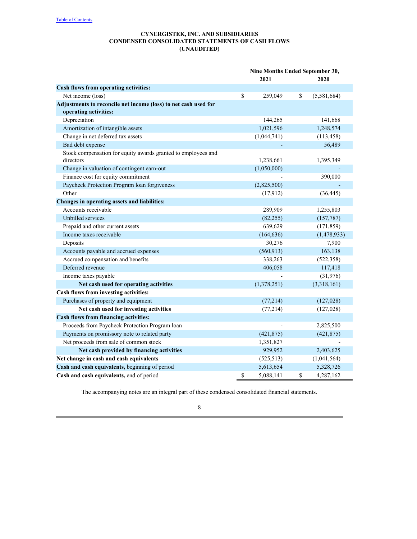## **CYNERGISTEK, INC. AND SUBSIDIARIES CONDENSED CONSOLIDATED STATEMENTS OF CASH FLOWS (UNAUDITED)**

|                                                                            | Nine Months Ended September 30, |                   |
|----------------------------------------------------------------------------|---------------------------------|-------------------|
|                                                                            | 2021                            | 2020              |
| <b>Cash flows from operating activities:</b>                               |                                 |                   |
| Net income (loss)                                                          | \$<br>259,049                   | \$<br>(5,581,684) |
| Adjustments to reconcile net income (loss) to net cash used for            |                                 |                   |
| operating activities:                                                      |                                 |                   |
| Depreciation                                                               | 144,265                         | 141,668           |
| Amortization of intangible assets                                          | 1,021,596                       | 1,248,574         |
| Change in net deferred tax assets                                          | (1,044,741)                     | (113, 458)        |
| Bad debt expense                                                           |                                 | 56,489            |
| Stock compensation for equity awards granted to employees and<br>directors | 1,238,661                       | 1,395,349         |
| Change in valuation of contingent earn-out                                 | (1,050,000)                     |                   |
| Finance cost for equity commitment                                         |                                 | 390,000           |
| Paycheck Protection Program loan forgiveness                               | (2,825,500)                     |                   |
| Other                                                                      | (17,912)                        | (36, 445)         |
| Changes in operating assets and liabilities:                               |                                 |                   |
| Accounts receivable                                                        | 289,909                         | 1,255,803         |
| Unbilled services                                                          | (82, 255)                       | (157, 787)        |
| Prepaid and other current assets                                           | 639,629                         | (171, 859)        |
| Income taxes receivable                                                    | (164, 636)                      | (1,478,933)       |
| Deposits                                                                   | 30,276                          | 7,900             |
| Accounts payable and accrued expenses                                      | (560, 913)                      | 163,138           |
| Accrued compensation and benefits                                          | 338,263                         | (522, 358)        |
| Deferred revenue                                                           | 406,058                         | 117,418           |
| Income taxes payable                                                       |                                 | (31,976)          |
| Net cash used for operating activities                                     | (1,378,251)                     | (3,318,161)       |
| Cash flows from investing activities:                                      |                                 |                   |
| Purchases of property and equipment                                        | (77, 214)                       | (127,028)         |
| Net cash used for investing activities                                     | (77,214)                        | (127,028)         |
| Cash flows from financing activities:                                      |                                 |                   |
| Proceeds from Paycheck Protection Program loan                             |                                 | 2,825,500         |
| Payments on promissory note to related party                               | (421, 875)                      | (421, 875)        |
| Net proceeds from sale of common stock                                     | 1,351,827                       |                   |
| Net cash provided by financing activities                                  | 929,952                         | 2,403,625         |
| Net change in cash and cash equivalents                                    | (525, 513)                      | (1,041,564)       |
| Cash and cash equivalents, beginning of period                             | 5,613,654                       | 5,328,726         |
| Cash and cash equivalents, end of period                                   | \$<br>5,088,141                 | \$<br>4,287,162   |

The accompanying notes are an integral part of these condensed consolidated financial statements.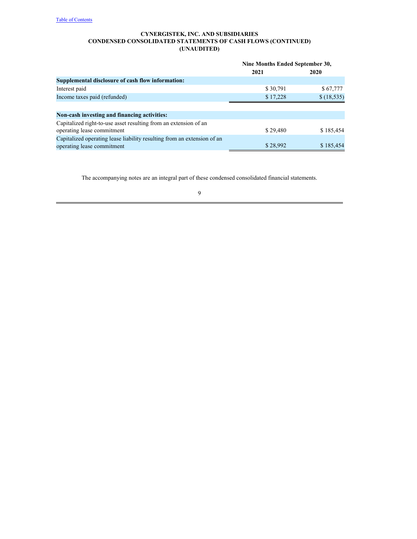## **CYNERGISTEK, INC. AND SUBSIDIARIES CONDENSED CONSOLIDATED STATEMENTS OF CASH FLOWS (CONTINUED) (UNAUDITED)**

|                                                                         | Nine Months Ended September 30, |             |  |  |  |  |
|-------------------------------------------------------------------------|---------------------------------|-------------|--|--|--|--|
|                                                                         | 2021                            | 2020        |  |  |  |  |
| Supplemental disclosure of cash flow information:                       |                                 |             |  |  |  |  |
| Interest paid                                                           | \$30,791                        | \$67,777    |  |  |  |  |
| Income taxes paid (refunded)                                            | \$17,228                        | \$(18, 535) |  |  |  |  |
|                                                                         |                                 |             |  |  |  |  |
| Non-cash investing and financing activities:                            |                                 |             |  |  |  |  |
| Capitalized right-to-use asset resulting from an extension of an        |                                 |             |  |  |  |  |
| operating lease commitment                                              | \$29,480                        | \$185,454   |  |  |  |  |
| Capitalized operating lease liability resulting from an extension of an |                                 |             |  |  |  |  |
| operating lease commitment                                              | \$28,992                        | \$185,454   |  |  |  |  |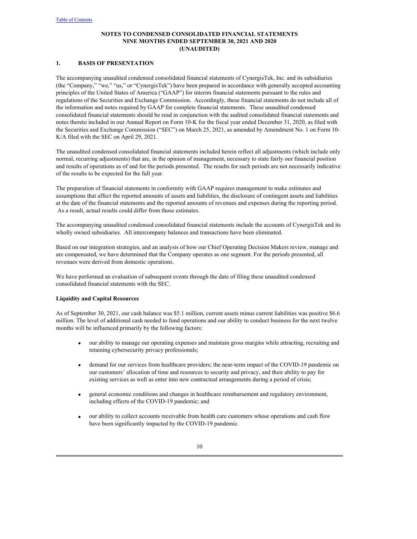## **NOTES TO CONDENSED CONSOLIDATED FINANCIAL STATEMENTS NINE MONTHS ENDED SEPTEMBER 30, 2021 AND 2020 (UNAUDITED)**

## **BASIS OF PRESENTATION 1.**

The accompanying unaudited condensed consolidated financial statements of CynergisTek, Inc. and its subsidiaries (the "Company," "we," "us," or "CynergisTek") have been prepared in accordance with generally accepted accounting principles of the United States of America ("GAAP") for interim financial statements pursuant to the rules and regulations of the Securities and Exchange Commission. Accordingly, these financial statements do not include all of the information and notes required by GAAP for complete financial statements. These unaudited condensed consolidated financial statements should be read in conjunction with the audited consolidated financial statements and notes thereto included in our Annual Report on Form 10-K for the fiscal year ended December 31, 2020, as filed with the Securities and Exchange Commission ("SEC") on March 25, 2021, as amended by Amendment No. 1 on Form 10- K/A filed with the SEC on April 29, 2021.

The unaudited condensed consolidated financial statements included herein reflect all adjustments (which include only normal, recurring adjustments) that are, in the opinion of management, necessary to state fairly our financial position and results of operations as of and for the periods presented. The results for such periods are not necessarily indicative of the results to be expected for the full year.

The preparation of financial statements in conformity with GAAP requires management to make estimates and assumptions that affect the reported amounts of assets and liabilities, the disclosure of contingent assets and liabilities at the date of the financial statements and the reported amounts of revenues and expenses during the reporting period. As a result, actual results could differ from those estimates.

The accompanying unaudited condensed consolidated financial statements include the accounts of CynergisTek and its wholly owned subsidiaries. All intercompany balances and transactions have been eliminated.

Based on our integration strategies, and an analysis of how our Chief Operating Decision Makers review, manage and are compensated, we have determined that the Company operates as one segment. For the periods presented, all revenues were derived from domestic operations.

We have performed an evaluation of subsequent events through the date of filing these unaudited condensed consolidated financial statements with the SEC.

## **Liquidity and Capital Resources**

As of September 30, 2021, our cash balance was \$5.1 million, current assets minus current liabilities was positive \$6.6 million. The level of additional cash needed to fund operations and our ability to conduct business for the next twelve months will be influenced primarily by the following factors:

- our ability to manage our operating expenses and maintain gross margins while attracting, recruiting and retaining cybersecurity privacy professionals;
- demand for our services from healthcare providers; the near-term impact of the COVID-19 pandemic on our customers' allocation of time and resources to security and privacy, and their ability to pay for existing services as well as enter into new contractual arrangements during a period of crisis;
- general economic conditions and changes in healthcare reimbursement and regulatory environment, including effects of the COVID-19 pandemic; and
- our ability to collect accounts receivable from health care customers whose operations and cash flow have been significantly impacted by the COVID-19 pandemic. ·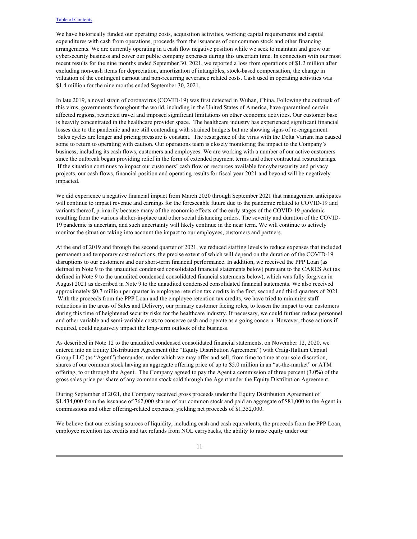We have historically funded our operating costs, acquisition activities, working capital requirements and capital expenditures with cash from operations, proceeds from the issuances of our common stock and other financing arrangements. We are currently operating in a cash flow negative position while we seek to maintain and grow our cybersecurity business and cover our public company expenses during this uncertain time. In connection with our most recent results for the nine months ended September 30, 2021, we reported a loss from operations of \$1.2 million after excluding non-cash items for depreciation, amortization of intangibles, stock-based compensation, the change in valuation of the contingent earnout and non-recurring severance related costs. Cash used in operating activities was \$1.4 million for the nine months ended September 30, 2021.

In late 2019, a novel strain of coronavirus (COVID-19) was first detected in Wuhan, China. Following the outbreak of this virus, governments throughout the world, including in the United States of America, have quarantined certain affected regions, restricted travel and imposed significant limitations on other economic activities. Our customer base is heavily concentrated in the healthcare provider space. The healthcare industry has experienced significant financial losses due to the pandemic and are still contending with strained budgets but are showing signs of re-engagement. Sales cycles are longer and pricing pressure is constant. The resurgence of the virus with the Delta Variant has caused some to return to operating with caution. Our operations team is closely monitoring the impact to the Company's business, including its cash flows, customers and employees. We are working with a number of our active customers since the outbreak began providing relief in the form of extended payment terms and other contractual restructurings. If the situation continues to impact our customers' cash flow or resources available for cybersecurity and privacy projects, our cash flows, financial position and operating results for fiscal year 2021 and beyond will be negatively impacted.

We did experience a negative financial impact from March 2020 through September 2021 that management anticipates will continue to impact revenue and earnings for the foreseeable future due to the pandemic related to COVID-19 and variants thereof, primarily because many of the economic effects of the early stages of the COVID-19 pandemic resulting from the various shelter-in-place and other social distancing orders. The severity and duration of the COVID-19 pandemic is uncertain, and such uncertainty will likely continue in the near term. We will continue to actively monitor the situation taking into account the impact to our employees, customers and partners.

At the end of 2019 and through the second quarter of 2021, we reduced staffing levels to reduce expenses that included permanent and temporary cost reductions, the precise extent of which will depend on the duration of the COVID-19 disruptions to our customers and our short-term financial performance. In addition, we received the PPP Loan (as defined in Note 9 to the unaudited condensed consolidated financial statements below) pursuant to the CARES Act (as defined in Note 9 to the unaudited condensed consolidated financial statements below), which was fully forgiven in August 2021 as described in Note 9 to the unaudited condensed consolidated financial statements. We also received approximately \$0.7 million per quarter in employee retention tax credits in the first, second and third quarters of 2021. With the proceeds from the PPP Loan and the employee retention tax credits, we have tried to minimize staff reductions in the areas of Sales and Delivery, our primary customer facing roles, to lessen the impact to our customers during this time of heightened security risks for the healthcare industry. If necessary, we could further reduce personnel and other variable and semi-variable costs to conserve cash and operate as a going concern. However, those actions if required, could negatively impact the long-term outlook of the business.

As described in Note 12 to the unaudited condensed consolidated financial statements, on November 12, 2020, we entered into an Equity Distribution Agreement (the "Equity Distribution Agreement") with Craig-Hallum Capital Group LLC (as "Agent") thereunder, under which we may offer and sell, from time to time at our sole discretion, shares of our common stock having an aggregate offering price of up to \$5.0 million in an "at-the-market" or ATM offering, to or through the Agent. The Company agreed to pay the Agent a commission of three percent  $(3.0\%)$  of the gross sales price per share of any common stock sold through the Agent under the Equity Distribution Agreement.

During September of 2021, the Company received gross proceeds under the Equity Distribution Agreement of \$1,434,000 from the issuance of 762,000 shares of our common stock and paid an aggregate of \$81,000 to the Agent in commissions and other offering-related expenses, yielding net proceeds of \$1,352,000.

We believe that our existing sources of liquidity, including cash and cash equivalents, the proceeds from the PPP Loan, employee retention tax credits and tax refunds from NOL carrybacks, the ability to raise equity under our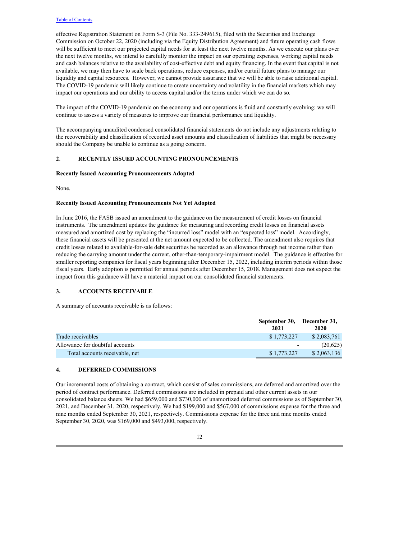effective Registration Statement on Form S-3 (File No. 333-249615), filed with the Securities and Exchange Commission on October 22, 2020 (including via the Equity Distribution Agreement) and future operating cash flows will be sufficient to meet our projected capital needs for at least the next twelve months. As we execute our plans over the next twelve months, we intend to carefully monitor the impact on our operating expenses, working capital needs and cash balances relative to the availability of cost-effective debt and equity financing. In the event that capital is not available, we may then have to scale back operations, reduce expenses, and/or curtail future plans to manage our liquidity and capital resources. However, we cannot provide assurance that we will be able to raise additional capital. The COVID-19 pandemic will likely continue to create uncertainty and volatility in the financial markets which may impact our operations and our ability to access capital and/or the terms under which we can do so.

The impact of the COVID-19 pandemic on the economy and our operations is fluid and constantly evolving; we will continue to assess a variety of measures to improve our financial performance and liquidity.

The accompanying unaudited condensed consolidated financial statements do not include any adjustments relating to the recoverability and classification of recorded asset amounts and classification of liabilities that might be necessary should the Company be unable to continue as a going concern.

## **RECENTLY ISSUED ACCOUNTING PRONOUNCEMENTS 2**.

## **Recently Issued Accounting Pronouncements Adopted**

None.

## **Recently Issued Accounting Pronouncements Not Yet Adopted**

In June 2016, the FASB issued an amendment to the guidance on the measurement of credit losses on financial instruments. The amendment updates the guidance for measuring and recording credit losses on financial assets measured and amortized cost by replacing the "incurred loss" model with an "expected loss" model. Accordingly, these financial assets will be presented at the net amount expected to be collected. The amendment also requires that credit losses related to available-for-sale debt securities be recorded as an allowance through net income rather than reducing the carrying amount under the current, other-than-temporary-impairment model. The guidance is effective for smaller reporting companies for fiscal years beginning after December 15, 2022, including interim periods within those fiscal years. Early adoption is permitted for annual periods after December 15, 2018. Management does not expect the impact from this guidance will have a material impact on our consolidated financial statements.

## **ACCOUNTS RECEIVABLE 3.**

A summary of accounts receivable is as follows:

|                                 | September 30, | December 31, |
|---------------------------------|---------------|--------------|
|                                 | 2021          | 2020         |
| Trade receivables               | \$1,773,227   | \$2,083,761  |
| Allowance for doubtful accounts |               | (20,625)     |
| Total accounts receivable, net  | \$1,773,227   | \$2,063,136  |

#### **DEFERRED COMMISSIONS 4.**

Our incremental costs of obtaining a contract, which consist of sales commissions, are deferred and amortized over the period of contract performance. Deferred commissions are included in prepaid and other current assets in our consolidated balance sheets. We had \$659,000 and \$730,000 of unamortized deferred commissions as of September 30, 2021, and December 31, 2020, respectively. We had \$199,000 and \$567,000 of commissions expense for the three and nine months ended September 30, 2021, respectively. Commissions expense for the three and nine months ended September 30, 2020, was \$169,000 and \$493,000, respectively.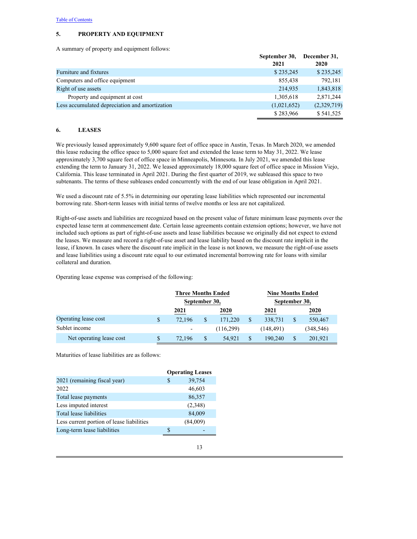## **PROPERTY AND EQUIPMENT 5.**

A summary of property and equipment follows:

|                                                | September 30, | December 31, |
|------------------------------------------------|---------------|--------------|
|                                                | 2021          | 2020         |
| Furniture and fixtures                         | \$235,245     | \$235,245    |
| Computers and office equipment                 | 855,438       | 792,181      |
| Right of use assets                            | 214,935       | 1,843,818    |
| Property and equipment at cost                 | 1,305,618     | 2,871,244    |
| Less accumulated depreciation and amortization | (1,021,652)   | (2,329,719)  |
|                                                | \$283,966     | \$541,525    |

## **LEASES 6.**

We previously leased approximately 9,600 square feet of office space in Austin, Texas. In March 2020, we amended this lease reducing the office space to 5,000 square feet and extended the lease term to May 31, 2022. We lease approximately 3,700 square feet of office space in Minneapolis, Minnesota. In July 2021, we amended this lease extending the term to January 31, 2022. We leased approximately 18,000 square feet of office space in Mission Viejo, California. This lease terminated in April 2021. During the first quarter of 2019, we subleased this space to two subtenants. The terms of these subleases ended concurrently with the end of our lease obligation in April 2021.

We used a discount rate of 5.5% in determining our operating lease liabilities which represented our incremental borrowing rate. Short-term leases with initial terms of twelve months or less are not capitalized.

Right-of-use assets and liabilities are recognized based on the present value of future minimum lease payments over the expected lease term at commencement date. Certain lease agreements contain extension options; however, we have not included such options as part of right-of-use assets and lease liabilities because we originally did not expect to extend the leases. We measure and record a right-of-use asset and lease liability based on the discount rate implicit in the lease, if known. In cases where the discount rate implicit in the lease is not known, we measure the right-of-use assets and lease liabilities using a discount rate equal to our estimated incremental borrowing rate for loans with similar collateral and duration.

Operating lease expense was comprised of the following:

|                          | <b>Three Months Ended</b> |  | <b>Nine Months Ended</b> |  |           |  |            |
|--------------------------|---------------------------|--|--------------------------|--|-----------|--|------------|
|                          | September 30,             |  | September 30,            |  |           |  |            |
|                          | 2021                      |  | 2020                     |  | 2021      |  | 2020       |
| Operating lease cost     | 72,196                    |  | 171,220                  |  | 338,731   |  | 550,467    |
| Sublet income            | $\overline{\phantom{a}}$  |  | (116, 299)               |  | (148,491) |  | (348, 546) |
| Net operating lease cost | 72,196                    |  | 54,921                   |  | 190,240   |  | 201,921    |

Maturities of lease liabilities are as follows:

|                                           |   | <b>Operating Leases</b> |
|-------------------------------------------|---|-------------------------|
| 2021 (remaining fiscal year)              | S | 39,754                  |
| 2022                                      |   | 46,603                  |
| Total lease payments                      |   | 86,357                  |
| Less imputed interest                     |   | (2,348)                 |
| Total lease liabilities                   |   | 84,009                  |
| Less current portion of lease liabilities |   | (84,009)                |
| Long-term lease liabilities               |   | -                       |
|                                           |   |                         |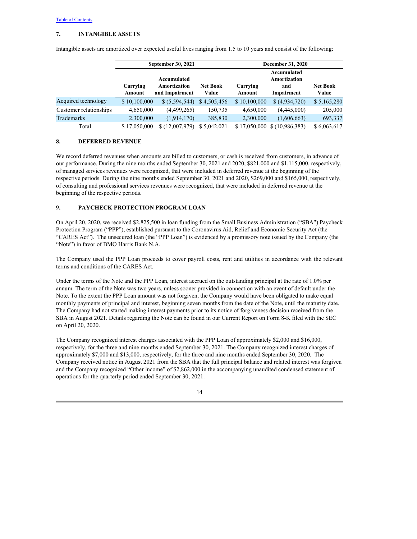## **INTANGIBLE ASSETS 7.**

|                        |              | <b>September 30, 2021</b>    |                 |                 | <b>December 31, 2020</b>      |                 |
|------------------------|--------------|------------------------------|-----------------|-----------------|-------------------------------|-----------------|
|                        |              |                              |                 |                 | Accumulated                   |                 |
|                        |              | Accumulated                  |                 |                 | Amortization                  |                 |
|                        | Carrving     | Amortization                 | <b>Net Book</b> | <b>Carrying</b> | and                           | <b>Net Book</b> |
|                        | Amount       | and Impairment               | Value           | Amount          | Impairment                    | Value           |
| Acquired technology    | \$10,100,000 | $$ (5,594,544) \ $4,505,456$ |                 | \$10,100,000    | \$ (4,934,720)                | \$5,165,280     |
| Customer relationships | 4,650,000    | (4,499,265)                  | 150,735         | 4,650,000       | (4,445,000)                   | 205,000         |
| Trademarks             | 2,300,000    | (1,914,170)                  | 385,830         | 2,300,000       | (1,606,663)                   | 693,337         |
| Total                  | \$17,050,000 | $$(12,007,979)$ $$5,042,021$ |                 |                 | $$17,050,000 \$ (10,986,383)$ | \$6,063,617     |

Intangible assets are amortized over expected useful lives ranging from 1.5 to 10 years and consist of the following:

## **DEFERRED REVENUE 8.**

We record deferred revenues when amounts are billed to customers, or cash is received from customers, in advance of our performance. During the nine months ended September 30, 2021 and 2020, \$821,000 and \$1,115,000, respectively, of managed services revenues were recognized, that were included in deferred revenue at the beginning of the respective periods. During the nine months ended September 30, 2021 and 2020, \$269,000 and \$165,000, respectively, of consulting and professional services revenues were recognized, that were included in deferred revenue at the beginning of the respective periods.

#### **PAYCHECK PROTECTION PROGRAM LOAN 9.**

On April 20, 2020, we received \$2,825,500 in loan funding from the Small Business Administration ("SBA") Paycheck Protection Program ("PPP"), established pursuant to the Coronavirus Aid, Relief and Economic Security Act (the "CARES Act"). The unsecured loan (the "PPP Loan") is evidenced by a promissory note issued by the Company (the "Note") in favor of BMO Harris Bank N.A.

The Company used the PPP Loan proceeds to cover payroll costs, rent and utilities in accordance with the relevant terms and conditions of the CARES Act.

Under the terms of the Note and the PPP Loan, interest accrued on the outstanding principal at the rate of 1.0% per annum. The term of the Note was two years, unless sooner provided in connection with an event of default under the Note. To the extent the PPP Loan amount was not forgiven, the Company would have been obligated to make equal monthly payments of principal and interest, beginning seven months from the date of the Note, until the maturity date. The Company had not started making interest payments prior to its notice of forgiveness decision received from the SBA in August 2021. Details regarding the Note can be found in our Current Report on Form 8-K filed with the SEC on April 20, 2020.

The Company recognized interest charges associated with the PPP Loan of approximately \$2,000 and \$16,000, respectively, for the three and nine months ended September 30, 2021. The Company recognized interest charges of approximately \$7,000 and \$13,000, respectively, for the three and nine months ended September 30, 2020. The Company received notice in August 2021 from the SBA that the full principal balance and related interest was forgiven and the Company recognized "Other income" of \$2,862,000 in the accompanying unaudited condensed statement of operations for the quarterly period ended September 30, 2021.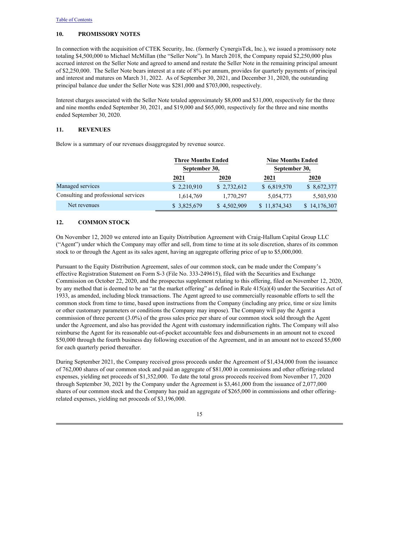## **PROMISSORY NOTES 10.**

In connection with the acquisition of CTEK Security, Inc. (formerly CynergisTek, Inc.), we issued a promissory note totaling \$4,500,000 to Michael McMillan (the "Seller Note"). In March 2018, the Company repaid \$2,250,000 plus accrued interest on the Seller Note and agreed to amend and restate the Seller Note in the remaining principal amount of \$2,250,000. The Seller Note bears interest at a rate of 8% per annum, provides for quarterly payments of principal and interest and matures on March 31, 2022. As of September 30, 2021, and December 31, 2020, the outstanding principal balance due under the Seller Note was \$281,000 and \$703,000, respectively.

Interest charges associated with the Seller Note totaled approximately \$8,000 and \$31,000, respectively for the three and nine months ended September 30, 2021, and \$19,000 and \$65,000, respectively for the three and nine months ended September 30, 2020.

## **REVENUES 11.**

Below is a summary of our revenues disaggregated by revenue source.

|                                      | Three Months Ended |             | <b>Nine Months Ended</b> |              |
|--------------------------------------|--------------------|-------------|--------------------------|--------------|
|                                      | September 30,      |             | September 30,            |              |
|                                      | 2021               | 2020        | 2021                     | 2020         |
| Managed services                     | \$2,210,910        | \$2,732,612 | \$6,819,570              | \$8,672,377  |
| Consulting and professional services | 1,614,769          | 1,770,297   | 5,054,773                | 5,503,930    |
| Net revenues                         | \$3,825,679        | \$4,502,909 | \$11,874,343             | \$14,176,307 |

#### **COMMON STOCK 12.**

On November 12, 2020 we entered into an Equity Distribution Agreement with Craig-Hallum Capital Group LLC ("Agent") under which the Company may offer and sell, from time to time at its sole discretion, shares of its common stock to or through the Agent as its sales agent, having an aggregate offering price of up to \$5,000,000.

Pursuant to the Equity Distribution Agreement, sales of our common stock, can be made under the Company's effective Registration Statement on Form S-3 (File No. 333-249615), filed with the Securities and Exchange Commission on October 22, 2020, and the prospectus supplement relating to this offering, filed on November 12, 2020, by any method that is deemed to be an "at the market offering" as defined in Rule 415(a)(4) under the Securities Act of 1933, as amended, including block transactions. The Agent agreed to use commercially reasonable efforts to sell the common stock from time to time, based upon instructions from the Company (including any price, time or size limits or other customary parameters or conditions the Company may impose). The Company will pay the Agent a commission of three percent (3.0%) of the gross sales price per share of our common stock sold through the Agent under the Agreement, and also has provided the Agent with customary indemnification rights. The Company will also reimburse the Agent for its reasonable out-of-pocket accountable fees and disbursements in an amount not to exceed \$50,000 through the fourth business day following execution of the Agreement, and in an amount not to exceed \$5,000 for each quarterly period thereafter.

During September 2021, the Company received gross proceeds under the Agreement of \$1,434,000 from the issuance of 762,000 shares of our common stock and paid an aggregate of \$81,000 in commissions and other offering-related expenses, yielding net proceeds of \$1,352,000. To date the total gross proceeds received from November 17, 2020 through September 30, 2021 by the Company under the Agreement is \$3,461,000 from the issuance of 2,077,000 shares of our common stock and the Company has paid an aggregate of \$265,000 in commissions and other offeringrelated expenses, yielding net proceeds of \$3,196,000.

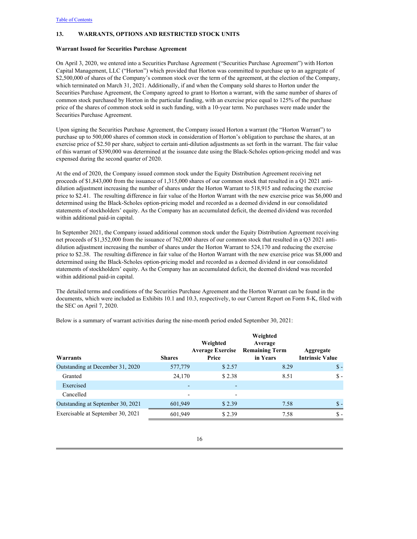#### **WARRANTS, OPTIONS AND RESTRICTED STOCK UNITS 13.**

## **Warrant Issued for Securities Purchase Agreement**

On April 3, 2020, we entered into a Securities Purchase Agreement ("Securities Purchase Agreement") with Horton Capital Management, LLC ("Horton") which provided that Horton was committed to purchase up to an aggregate of \$2,500,000 of shares of the Company's common stock over the term of the agreement, at the election of the Company, which terminated on March 31, 2021. Additionally, if and when the Company sold shares to Horton under the Securities Purchase Agreement, the Company agreed to grant to Horton a warrant, with the same number of shares of common stock purchased by Horton in the particular funding, with an exercise price equal to 125% of the purchase price of the shares of common stock sold in such funding, with a 10-year term. No purchases were made under the Securities Purchase Agreement.

Upon signing the Securities Purchase Agreement, the Company issued Horton a warrant (the "Horton Warrant") to purchase up to 500,000 shares of common stock in consideration of Horton's obligation to purchase the shares, at an exercise price of \$2.50 per share, subject to certain anti-dilution adjustments as set forth in the warrant. The fair value of this warrant of \$390,000 was determined at the issuance date using the Black-Scholes option-pricing model and was expensed during the second quarter of 2020.

At the end of 2020, the Company issued common stock under the Equity Distribution Agreement receiving net proceeds of \$1,843,000 from the issuance of 1,315,000 shares of our common stock that resulted in a Q1 2021 antidilution adjustment increasing the number of shares under the Horton Warrant to 518,915 and reducing the exercise price to \$2.41. The resulting difference in fair value of the Horton Warrant with the new exercise price was \$6,000 and determined using the Black-Scholes option-pricing model and recorded as a deemed dividend in our consolidated statements of stockholders' equity. As the Company has an accumulated deficit, the deemed dividend was recorded within additional paid-in capital.

In September 2021, the Company issued additional common stock under the Equity Distribution Agreement receiving net proceeds of \$1,352,000 from the issuance of 762,000 shares of our common stock that resulted in a Q3 2021 antidilution adjustment increasing the number of shares under the Horton Warrant to 524,170 and reducing the exercise price to \$2.38. The resulting difference in fair value of the Horton Warrant with the new exercise price was \$8,000 and determined using the Black-Scholes option-pricing model and recorded as a deemed dividend in our consolidated statements of stockholders' equity. As the Company has an accumulated deficit, the deemed dividend was recorded within additional paid-in capital.

The detailed terms and conditions of the Securities Purchase Agreement and the Horton Warrant can be found in the documents, which were included as Exhibits 10.1 and 10.3, respectively, to our Current Report on Form 8-K, filed with the SEC on April 7, 2020.

Below is a summary of warrant activities during the nine-month period ended September 30, 2021:

| Warrants                          | <b>Shares</b>            | Weighted<br><b>Average Exercise</b><br>Price | Weighted<br>Average<br><b>Remaining Term</b><br>in Years | Aggregate<br><b>Intrinsic Value</b> |
|-----------------------------------|--------------------------|----------------------------------------------|----------------------------------------------------------|-------------------------------------|
| Outstanding at December 31, 2020  | 577,779                  | \$2.57                                       | 8.29                                                     | $S -$                               |
| Granted                           | 24,170                   | \$2.38                                       | 8.51                                                     | $\mathsf{\$}$ -                     |
| Exercised                         | $\overline{\phantom{0}}$ | $\overline{\phantom{0}}$                     |                                                          |                                     |
| Cancelled                         | $\overline{\phantom{0}}$ | $\overline{\phantom{0}}$                     |                                                          |                                     |
| Outstanding at September 30, 2021 | 601,949                  | \$2.39                                       | 7.58                                                     |                                     |
| Exercisable at September 30, 2021 | 601,949                  | \$2.39                                       | 7.58                                                     | .১ –                                |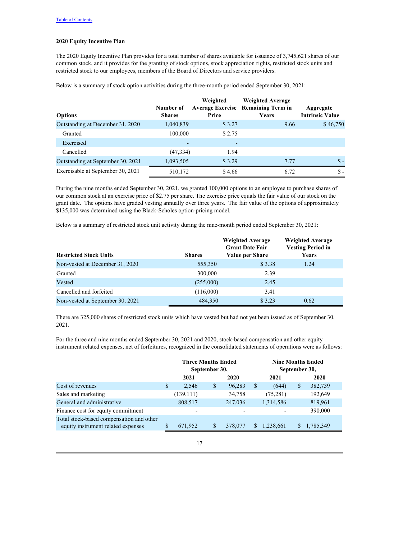## **2020 Equity Incentive Plan**

The 2020 Equity Incentive Plan provides for a total number of shares available for issuance of 3,745,621 shares of our common stock, and it provides for the granting of stock options, stock appreciation rights, restricted stock units and restricted stock to our employees, members of the Board of Directors and service providers.

Below is a summary of stock option activities during the three-month period ended September 30, 2021:

| <b>Options</b>                    | Number of<br><b>Shares</b> | Weighted<br>Price | <b>Weighted Average</b><br><b>Average Exercise</b> Remaining Term in<br>Years | Aggregate<br><b>Intrinsic Value</b> |
|-----------------------------------|----------------------------|-------------------|-------------------------------------------------------------------------------|-------------------------------------|
|                                   |                            |                   |                                                                               |                                     |
| Outstanding at December 31, 2020  | 1,040,839                  | \$3.27            | 9.66                                                                          | \$46,750                            |
| Granted                           | 100,000                    | \$2.75            |                                                                               |                                     |
| Exercised                         |                            |                   |                                                                               |                                     |
| Cancelled                         | (47, 334)                  | 1.94              |                                                                               |                                     |
| Outstanding at September 30, 2021 | 1,093,505                  | \$3.29            | 7.77                                                                          |                                     |
| Exercisable at September 30, 2021 | 510,172                    | \$4.66            | 6.72                                                                          | 、 -                                 |

During the nine months ended September 30, 2021, we granted 100,000 options to an employee to purchase shares of our common stock at an exercise price of \$2.75 per share. The exercise price equals the fair value of our stock on the grant date. The options have graded vesting annually over three years. The fair value of the options of approximately \$135,000 was determined using the Black-Scholes option-pricing model.

Below is a summary of restricted stock unit activity during the nine-month period ended September 30, 2021:

|                                  |               | <b>Weighted Average</b><br><b>Grant Date Fair</b> | <b>Weighted Average</b><br><b>Vesting Period in</b> |
|----------------------------------|---------------|---------------------------------------------------|-----------------------------------------------------|
| <b>Restricted Stock Units</b>    | <b>Shares</b> | Value per Share                                   | Years                                               |
| Non-vested at December 31, 2020  | 555,350       | \$3.38                                            | 1.24                                                |
| Granted                          | 300,000       | 2.39                                              |                                                     |
| Vested                           | (255,000)     | 2.45                                              |                                                     |
| Cancelled and forfeited          | (116,000)     | 3.41                                              |                                                     |
| Non-vested at September 30, 2021 | 484,350       | \$3.23                                            | 0.62                                                |

There are 325,000 shares of restricted stock units which have vested but had not yet been issued as of September 30, 2021.

For the three and nine months ended September 30, 2021 and 2020, stock-based compensation and other equity instrument related expenses, net of forfeitures, recognized in the consolidated statements of operations were as follows:

|                                          | <b>Three Months Ended</b> |               |    |             |           | <b>Nine Months Ended</b> |
|------------------------------------------|---------------------------|---------------|----|-------------|-----------|--------------------------|
|                                          |                           | September 30, |    |             |           | September 30,            |
|                                          | 2021                      |               |    | <b>2020</b> | 2021      | 2020                     |
| Cost of revenues                         | 2,546                     |               | J. | 96,283      | (644)     | 382,739                  |
| Sales and marketing                      | (139, 111)                |               |    | 34,758      | (75, 281) | 192,649                  |
| General and administrative               | 808,517                   |               |    | 247,036     | 1,314,586 | 819,961                  |
| Finance cost for equity commitment       |                           |               |    |             |           | 390,000                  |
| Total stock-based compensation and other |                           |               |    |             |           |                          |
| equity instrument related expenses       | 671,952                   |               |    | 378,077     | .238.661  | 1,785,349                |
|                                          |                           |               |    |             |           |                          |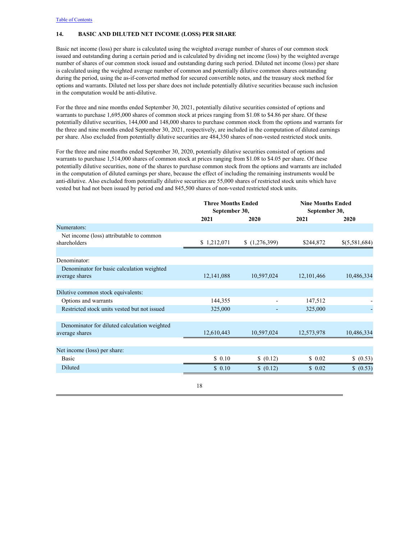#### **BASIC AND DILUTED NET INCOME (LOSS) PER SHARE 14.**

Basic net income (loss) per share is calculated using the weighted average number of shares of our common stock issued and outstanding during a certain period and is calculated by dividing net income (loss) by the weighted average number of shares of our common stock issued and outstanding during such period. Diluted net income (loss) per share is calculated using the weighted average number of common and potentially dilutive common shares outstanding during the period, using the as-if-converted method for secured convertible notes, and the treasury stock method for options and warrants. Diluted net loss per share does not include potentially dilutive securities because such inclusion in the computation would be anti-dilutive.

For the three and nine months ended September 30, 2021, potentially dilutive securities consisted of options and warrants to purchase 1,695,000 shares of common stock at prices ranging from \$1.08 to \$4.86 per share. Of these potentially dilutive securities, 144,000 and 148,000 shares to purchase common stock from the options and warrants for the three and nine months ended September 30, 2021, respectively, are included in the computation of diluted earnings per share. Also excluded from potentially dilutive securities are 484,350 shares of non-vested restricted stock units.

For the three and nine months ended September 30, 2020, potentially dilutive securities consisted of options and warrants to purchase 1,514,000 shares of common stock at prices ranging from \$1.08 to \$4.05 per share. Of these potentially dilutive securities, none of the shares to purchase common stock from the options and warrants are included in the computation of diluted earnings per share, because the effect of including the remaining instruments would be anti-dilutive. Also excluded from potentially dilutive securities are 55,000 shares of restricted stock units which have vested but had not been issued by period end and 845,500 shares of non-vested restricted stock units.

|                                              | <b>Three Months Ended</b><br>September 30, |             | <b>Nine Months Ended</b><br>September 30, |               |
|----------------------------------------------|--------------------------------------------|-------------|-------------------------------------------|---------------|
|                                              | 2021                                       | 2020        | 2021                                      | 2020          |
| Numerators:                                  |                                            |             |                                           |               |
| Net income (loss) attributable to common     |                                            |             |                                           |               |
| shareholders                                 | \$1,212,071                                | (1,276,399) | \$244,872                                 | \$(5,581,684) |
|                                              |                                            |             |                                           |               |
| Denominator:                                 |                                            |             |                                           |               |
| Denominator for basic calculation weighted   |                                            |             |                                           |               |
| average shares                               | 12,141,088                                 | 10,597,024  | 12,101,466                                | 10,486,334    |
|                                              |                                            |             |                                           |               |
| Dilutive common stock equivalents:           |                                            |             |                                           |               |
| Options and warrants                         | 144,355                                    | $\sim$      | 147,512                                   |               |
| Restricted stock units vested but not issued | 325,000                                    | $\sim$      | 325,000                                   |               |
|                                              |                                            |             |                                           |               |
| Denominator for diluted calculation weighted |                                            |             |                                           |               |
| average shares                               | 12,610,443                                 | 10,597,024  | 12,573,978                                | 10,486,334    |
|                                              |                                            |             |                                           |               |
| Net income (loss) per share:                 |                                            |             |                                           |               |
| Basic                                        | \$0.10                                     | \$ (0.12)   | \$0.02                                    | (0.53)        |
| Diluted                                      | \$0.10                                     | (0.12)      | \$0.02                                    | (0.53)        |
|                                              |                                            |             |                                           |               |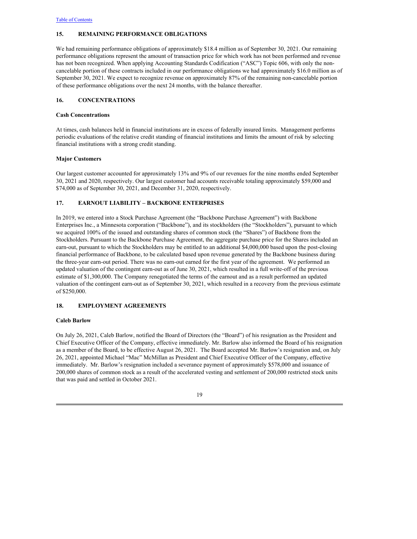## **REMAINING PERFORMANCE OBLIGATIONS 15.**

We had remaining performance obligations of approximately \$18.4 million as of September 30, 2021. Our remaining performance obligations represent the amount of transaction price for which work has not been performed and revenue has not been recognized. When applying Accounting Standards Codification ("ASC") Topic 606, with only the noncancelable portion of these contracts included in our performance obligations we had approximately \$16.0 million as of September 30, 2021. We expect to recognize revenue on approximately 87% of the remaining non-cancelable portion of these performance obligations over the next 24 months, with the balance thereafter.

## **CONCENTRATIONS 16.**

## **Cash Concentrations**

At times, cash balances held in financial institutions are in excess of federally insured limits. Management performs periodic evaluations of the relative credit standing of financial institutions and limits the amount of risk by selecting financial institutions with a strong credit standing.

## **Major Customers**

Our largest customer accounted for approximately 13% and 9% of our revenues for the nine months ended September 30, 2021 and 2020, respectively. Our largest customer had accounts receivable totaling approximately \$59,000 and \$74,000 as of September 30, 2021, and December 31, 2020, respectively.

## **EARNOUT LIABILITY – BACKBONE ENTERPRISES 17.**

In 2019, we entered into a Stock Purchase Agreement (the "Backbone Purchase Agreement") with Backbone Enterprises Inc., a Minnesota corporation ("Backbone"), and its stockholders (the "Stockholders"), pursuant to which we acquired 100% of the issued and outstanding shares of common stock (the "Shares") of Backbone from the Stockholders. Pursuant to the Backbone Purchase Agreement, the aggregate purchase price for the Shares included an earn-out, pursuant to which the Stockholders may be entitled to an additional \$4,000,000 based upon the post-closing financial performance of Backbone, to be calculated based upon revenue generated by the Backbone business during the three-year earn-out period. There was no earn-out earned for the first year of the agreement. We performed an updated valuation of the contingent earn-out as of June 30, 2021, which resulted in a full write-off of the previous estimate of \$1,300,000. The Company renegotiated the terms of the earnout and as a result performed an updated valuation of the contingent earn-out as of September 30, 2021, which resulted in a recovery from the previous estimate of \$250,000.

#### **EMPLOYMENT AGREEMENTS 18.**

## **Caleb Barlow**

On July 26, 2021, Caleb Barlow, notified the Board of Directors (the "Board") of his resignation as the President and Chief Executive Officer of the Company, effective immediately. Mr. Barlow also informed the Board of his resignation as a member of the Board, to be effective August 26, 2021. The Board accepted Mr. Barlow's resignation and, on July 26, 2021, appointed Michael "Mac" McMillan as President and Chief Executive Officer of the Company, effective immediately. Mr. Barlow's resignation included a severance payment of approximately \$578,000 and issuance of 200,000 shares of common stock as a result of the accelerated vesting and settlement of 200,000 restricted stock units that was paid and settled in October 2021.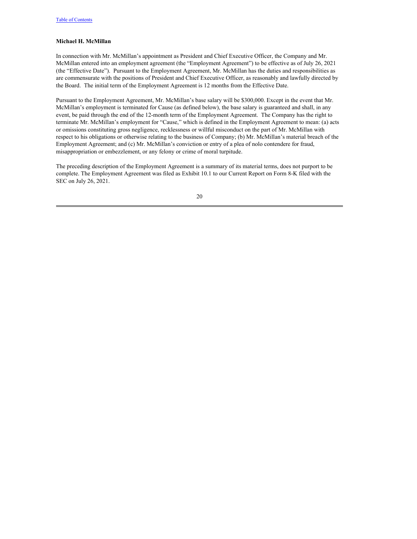## **Michael H. McMillan**

In connection with Mr. McMillan's appointment as President and Chief Executive Officer, the Company and Mr. McMillan entered into an employment agreement (the "Employment Agreement") to be effective as of July 26, 2021 (the "Effective Date"). Pursuant to the Employment Agreement, Mr. McMillan has the duties and responsibilities as are commensurate with the positions of President and Chief Executive Officer, as reasonably and lawfully directed by the Board. The initial term of the Employment Agreement is 12 months from the Effective Date.

Pursuant to the Employment Agreement, Mr. McMillan's base salary will be \$300,000. Except in the event that Mr. McMillan's employment is terminated for Cause (as defined below), the base salary is guaranteed and shall, in any event, be paid through the end of the 12-month term of the Employment Agreement. The Company has the right to terminate Mr. McMillan's employment for "Cause," which is defined in the Employment Agreement to mean: (a) acts or omissions constituting gross negligence, recklessness or willful misconduct on the part of Mr. McMillan with respect to his obligations or otherwise relating to the business of Company; (b) Mr. McMillan's material breach of the Employment Agreement; and (c) Mr. McMillan's conviction or entry of a plea of nolo contendere for fraud, misappropriation or embezzlement, or any felony or crime of moral turpitude.

The preceding description of the Employment Agreement is a summary of its material terms, does not purport to be complete. The Employment Agreement was filed as Exhibit 10.1 to our Current Report on Form 8-K filed with the SEC on July 26, 2021.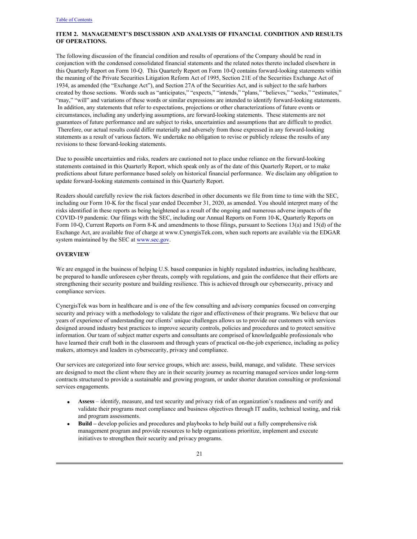## <span id="page-21-0"></span>**ITEM 2. MANAGEMENT'S DISCUSSION AND ANALYSIS OF FINANCIAL CONDITION AND RESULTS OF OPERATIONS.**

The following discussion of the financial condition and results of operations of the Company should be read in conjunction with the condensed consolidated financial statements and the related notes thereto included elsewhere in this Quarterly Report on Form 10-Q. This Quarterly Report on Form 10-Q contains forward-looking statements within the meaning of the Private Securities Litigation Reform Act of 1995, Section 21E of the Securities Exchange Act of 1934, as amended (the "Exchange Act"), and Section 27A of the Securities Act, and is subject to the safe harbors created by those sections. Words such as "anticipates," "expects," "intends," "plans," "believes," "seeks," "estimates," "may," "will" and variations of these words or similar expressions are intended to identify forward-looking statements. In addition, any statements that refer to expectations, projections or other characterizations of future events or circumstances, including any underlying assumptions, are forward-looking statements. These statements are not guarantees of future performance and are subject to risks, uncertainties and assumptions that are difficult to predict. Therefore, our actual results could differ materially and adversely from those expressed in any forward-looking statements as a result of various factors. We undertake no obligation to revise or publicly release the results of any revisions to these forward-looking statements.

Due to possible uncertainties and risks, readers are cautioned not to place undue reliance on the forward-looking statements contained in this Quarterly Report, which speak only as of the date of this Quarterly Report, or to make predictions about future performance based solely on historical financial performance. We disclaim any obligation to update forward-looking statements contained in this Quarterly Report.

Readers should carefully review the risk factors described in other documents we file from time to time with the SEC, including our Form 10-K for the fiscal year ended December 31, 2020, as amended. You should interpret many of the risks identified in these reports as being heightened as a result of the ongoing and numerous adverse impacts of the COVID-19 pandemic*.* Our filings with the SEC, including our Annual Reports on Form 10-K, Quarterly Reports on Form 10-Q, Current Reports on Form 8-K and amendments to those filings, pursuant to Sections 13(a) and 15(d) of the Exchange Act, are available free of charge at www.CynergisTek.com, when such reports are available via the EDGAR system maintained by the SEC at www.sec.gov.

## **OVERVIEW**

We are engaged in the business of helping U.S. based companies in highly regulated industries, including healthcare, be prepared to handle unforeseen cyber threats, comply with regulations, and gain the confidence that their efforts are strengthening their security posture and building resilience. This is achieved through our cybersecurity, privacy and compliance services.

CynergisTek was born in healthcare and is one of the few consulting and advisory companies focused on converging security and privacy with a methodology to validate the rigor and effectiveness of their programs. We believe that our years of experience of understanding our clients' unique challenges allows us to provide our customers with services designed around industry best practices to improve security controls, policies and procedures and to protect sensitive information. Our team of subject matter experts and consultants are comprised of knowledgeable professionals who have learned their craft both in the classroom and through years of practical on-the-job experience, including as policy makers, attorneys and leaders in cybersecurity, privacy and compliance.

Our services are categorized into four service groups, which are: assess, build, manage, and validate. These services are designed to meet the client where they are in their security journey as recurring managed services under long-term contracts structured to provide a sustainable and growing program, or under shorter duration consulting or professional services engagements.

- Assess identify, measure, and test security and privacy risk of an organization's readiness and verify and validate their programs meet compliance and business objectives through IT audits, technical testing, and risk and program assessments.
- **Build** develop policies and procedures and playbooks to help build out a fully comprehensive risk management program and provide resources to help organizations prioritize, implement and execute initiatives to strengthen their security and privacy programs. ·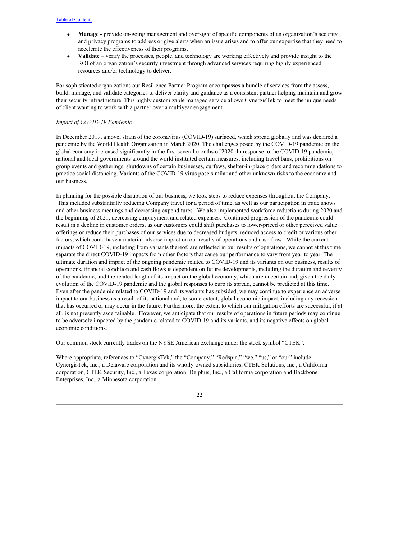- Manage provide on-going management and oversight of specific components of an organization's security and privacy programs to address or give alerts when an issue arises and to offer our expertise that they need to accelerate the effectiveness of their programs.
- **Validate**  verify the processes, people, and technology are working effectively and provide insight to the ROI of an organization's security investment through advanced services requiring highly experienced resources and/or technology to deliver. ·

For sophisticated organizations our Resilience Partner Program encompasses a bundle of services from the assess, build, manage, and validate categories to deliver clarity and guidance as a consistent partner helping maintain and grow their security infrastructure. This highly customizable managed service allows CynergisTek to meet the unique needs of client wanting to work with a partner over a multiyear engagement.

## *Impact of COVID-19 Pandemic*

In December 2019, a novel strain of the coronavirus (COVID-19) surfaced, which spread globally and was declared a pandemic by the World Health Organization in March 2020. The challenges posed by the COVID-19 pandemic on the global economy increased significantly in the first several months of 2020. In response to the COVID-19 pandemic, national and local governments around the world instituted certain measures, including travel bans, prohibitions on group events and gatherings, shutdowns of certain businesses, curfews, shelter-in-place orders and recommendations to practice social distancing. Variants of the COVID-19 virus pose similar and other unknown risks to the economy and our business.

In planning for the possible disruption of our business, we took steps to reduce expenses throughout the Company. This included substantially reducing Company travel for a period of time, as well as our participation in trade shows and other business meetings and decreasing expenditures. We also implemented workforce reductions during 2020 and the beginning of 2021, decreasing employment and related expenses. Continued progression of the pandemic could result in a decline in customer orders, as our customers could shift purchases to lower-priced or other perceived value offerings or reduce their purchases of our services due to decreased budgets, reduced access to credit or various other factors, which could have a material adverse impact on our results of operations and cash flow. While the current impacts of COVID-19, including from variants thereof, are reflected in our results of operations, we cannot at this time separate the direct COVID-19 impacts from other factors that cause our performance to vary from year to year. The ultimate duration and impact of the ongoing pandemic related to COVID-19 and its variants on our business, results of operations, financial condition and cash flows is dependent on future developments, including the duration and severity of the pandemic, and the related length of its impact on the global economy, which are uncertain and, given the daily evolution of the COVID-19 pandemic and the global responses to curb its spread, cannot be predicted at this time. Even after the pandemic related to COVID-19 and its variants has subsided, we may continue to experience an adverse impact to our business as a result of its national and, to some extent, global economic impact, including any recession that has occurred or may occur in the future. Furthermore, the extent to which our mitigation efforts are successful, if at all, is not presently ascertainable. However, we anticipate that our results of operations in future periods may continue to be adversely impacted by the pandemic related to COVID-19 and its variants, and its negative effects on global economic conditions.

Our common stock currently trades on the NYSE American exchange under the stock symbol "CTEK".

Where appropriate, references to "CynergisTek," the "Company," "Redspin," "we," "us," or "our" include CynergisTek, Inc., a Delaware corporation and its wholly-owned subsidiaries, CTEK Solutions, Inc., a California corporation, CTEK Security, Inc., a Texas corporation, Delphiis, Inc., a California corporation and Backbone Enterprises, Inc., a Minnesota corporation.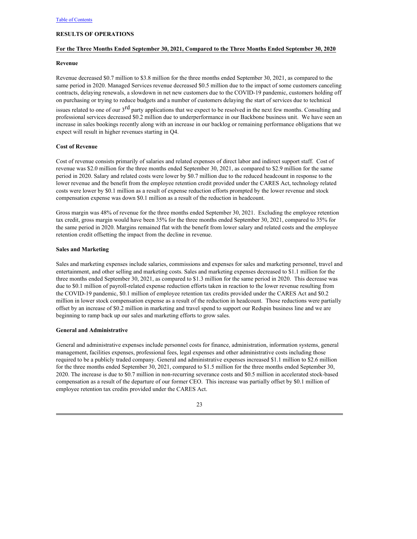## **RESULTS OF OPERATIONS**

## **For the Three Months Ended September 30, 2021, Compared to the Three Months Ended September 30, 2020**

## **Revenue**

Revenue decreased \$0.7 million to \$3.8 million for the three months ended September 30, 2021, as compared to the same period in 2020. Managed Services revenue decreased \$0.5 million due to the impact of some customers canceling contracts, delaying renewals, a slowdown in net new customers due to the COVID-19 pandemic, customers holding off on purchasing or trying to reduce budgets and a number of customers delaying the start of services due to technical

issues related to one of our 3<sup>rd</sup> party applications that we expect to be resolved in the next few months. Consulting and professional services decreased \$0.2 million due to underperformance in our Backbone business unit. We have seen an increase in sales bookings recently along with an increase in our backlog or remaining performance obligations that we expect will result in higher revenues starting in Q4.

## **Cost of Revenue**

Cost of revenue consists primarily of salaries and related expenses of direct labor and indirect support staff. Cost of revenue was \$2.0 million for the three months ended September 30, 2021, as compared to \$2.9 million for the same period in 2020. Salary and related costs were lower by \$0.7 million due to the reduced headcount in response to the lower revenue and the benefit from the employee retention credit provided under the CARES Act, technology related costs were lower by \$0.1 million as a result of expense reduction efforts prompted by the lower revenue and stock compensation expense was down \$0.1 million as a result of the reduction in headcount.

Gross margin was 48% of revenue for the three months ended September 30, 2021. Excluding the employee retention tax credit, gross margin would have been 35% for the three months ended September 30, 2021, compared to 35% for the same period in 2020. Margins remained flat with the benefit from lower salary and related costs and the employee retention credit offsetting the impact from the decline in revenue.

## **Sales and Marketing**

Sales and marketing expenses include salaries, commissions and expenses for sales and marketing personnel, travel and entertainment, and other selling and marketing costs. Sales and marketing expenses decreased to \$1.1 million for the three months ended September 30, 2021, as compared to \$1.3 million for the same period in 2020. This decrease was due to \$0.1 million of payroll-related expense reduction efforts taken in reaction to the lower revenue resulting from the COVID-19 pandemic, \$0.1 million of employee retention tax credits provided under the CARES Act and \$0.2 million in lower stock compensation expense as a result of the reduction in headcount. Those reductions were partially offset by an increase of \$0.2 million in marketing and travel spend to support our Redspin business line and we are beginning to ramp back up our sales and marketing efforts to grow sales.

## **General and Administrative**

General and administrative expenses include personnel costs for finance, administration, information systems, general management, facilities expenses, professional fees, legal expenses and other administrative costs including those required to be a publicly traded company. General and administrative expenses increased \$1.1 million to \$2.6 million for the three months ended September 30, 2021, compared to \$1.5 million for the three months ended September 30, 2020. The increase is due to \$0.7 million in non-recurring severance costs and \$0.5 million in accelerated stock-based compensation as a result of the departure of our former CEO. This increase was partially offset by \$0.1 million of employee retention tax credits provided under the CARES Act.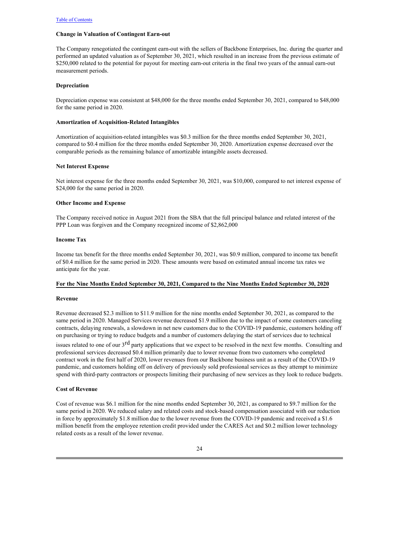## **Change in Valuation of Contingent Earn-out**

The Company renegotiated the contingent earn-out with the sellers of Backbone Enterprises, Inc. during the quarter and performed an updated valuation as of September 30, 2021, which resulted in an increase from the previous estimate of \$250,000 related to the potential for payout for meeting earn-out criteria in the final two years of the annual earn-out measurement periods.

## **Depreciation**

Depreciation expense was consistent at \$48,000 for the three months ended September 30, 2021, compared to \$48,000 for the same period in 2020.

## **Amortization of Acquisition-Related Intangibles**

Amortization of acquisition-related intangibles was \$0.3 million for the three months ended September 30, 2021, compared to \$0.4 million for the three months ended September 30, 2020. Amortization expense decreased over the comparable periods as the remaining balance of amortizable intangible assets decreased.

### **Net Interest Expense**

Net interest expense for the three months ended September 30, 2021, was \$10,000, compared to net interest expense of \$24,000 for the same period in 2020.

## **Other Income and Expense**

The Company received notice in August 2021 from the SBA that the full principal balance and related interest of the PPP Loan was forgiven and the Company recognized income of \$2,862,000

## **Income Tax**

Income tax benefit for the three months ended September 30, 2021, was \$0.9 million, compared to income tax benefit of \$0.4 million for the same period in 2020. These amounts were based on estimated annual income tax rates we anticipate for the year.

## **For the Nine Months Ended September 30, 2021, Compared to the Nine Months Ended September 30, 2020**

## **Revenue**

Revenue decreased \$2.3 million to \$11.9 million for the nine months ended September 30, 2021, as compared to the same period in 2020. Managed Services revenue decreased \$1.9 million due to the impact of some customers canceling contracts, delaying renewals, a slowdown in net new customers due to the COVID-19 pandemic, customers holding off on purchasing or trying to reduce budgets and a number of customers delaying the start of services due to technical

issues related to one of our 3<sup>rd</sup> party applications that we expect to be resolved in the next few months. Consulting and professional services decreased \$0.4 million primarily due to lower revenue from two customers who completed contract work in the first half of 2020, lower revenues from our Backbone business unit as a result of the COVID-19 pandemic, and customers holding off on delivery of previously sold professional services as they attempt to minimize spend with third-party contractors or prospects limiting their purchasing of new services as they look to reduce budgets.

## **Cost of Revenue**

Cost of revenue was \$6.1 million for the nine months ended September 30, 2021, as compared to \$9.7 million for the same period in 2020. We reduced salary and related costs and stock-based compensation associated with our reduction in force by approximately \$1.8 million due to the lower revenue from the COVID-19 pandemic and received a \$1.6 million benefit from the employee retention credit provided under the CARES Act and \$0.2 million lower technology related costs as a result of the lower revenue.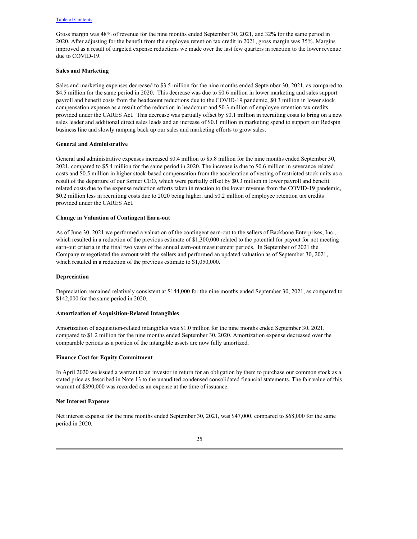Gross margin was 48% of revenue for the nine months ended September 30, 2021, and 32% for the same period in 2020. After adjusting for the benefit from the employee retention tax credit in 2021, gross margin was 35%. Margins improved as a result of targeted expense reductions we made over the last few quarters in reaction to the lower revenue due to COVID-19.

## **Sales and Marketing**

Sales and marketing expenses decreased to \$3.5 million for the nine months ended September 30, 2021, as compared to \$4.5 million for the same period in 2020. This decrease was due to \$0.6 million in lower marketing and sales support payroll and benefit costs from the headcount reductions due to the COVID-19 pandemic, \$0.3 million in lower stock compensation expense as a result of the reduction in headcount and \$0.3 million of employee retention tax credits provided under the CARES Act. This decrease was partially offset by \$0.1 million in recruiting costs to bring on a new sales leader and additional direct sales leads and an increase of \$0.1 million in marketing spend to support our Redspin business line and slowly ramping back up our sales and marketing efforts to grow sales.

## **General and Administrative**

General and administrative expenses increased \$0.4 million to \$5.8 million for the nine months ended September 30, 2021, compared to \$5.4 million for the same period in 2020. The increase is due to \$0.6 million in severance related costs and \$0.5 million in higher stock-based compensation from the acceleration of vesting of restricted stock units as a result of the departure of our former CEO, which were partially offset by \$0.3 million in lower payroll and benefit related costs due to the expense reduction efforts taken in reaction to the lower revenue from the COVID-19 pandemic, \$0.2 million less in recruiting costs due to 2020 being higher, and \$0.2 million of employee retention tax credits provided under the CARES Act.

## **Change in Valuation of Contingent Earn-out**

As of June 30, 2021 we performed a valuation of the contingent earn-out to the sellers of Backbone Enterprises, Inc., which resulted in a reduction of the previous estimate of \$1,300,000 related to the potential for payout for not meeting earn-out criteria in the final two years of the annual earn-out measurement periods. In September of 2021 the Company renegotiated the earnout with the sellers and performed an updated valuation as of September 30, 2021, which resulted in a reduction of the previous estimate to \$1,050,000.

## **Depreciation**

Depreciation remained relatively consistent at \$144,000 for the nine months ended September 30, 2021, as compared to \$142,000 for the same period in 2020.

## **Amortization of Acquisition-Related Intangibles**

Amortization of acquisition-related intangibles was \$1.0 million for the nine months ended September 30, 2021, compared to \$1.2 million for the nine months ended September 30, 2020. Amortization expense decreased over the comparable periods as a portion of the intangible assets are now fully amortized.

## **Finance Cost for Equity Commitment**

In April 2020 we issued a warrant to an investor in return for an obligation by them to purchase our common stock as a stated price as described in Note 13 to the unaudited condensed consolidated financial statements. The fair value of this warrant of \$390,000 was recorded as an expense at the time of issuance.

## **Net Interest Expense**

Net interest expense for the nine months ended September 30, 2021, was \$47,000, compared to \$68,000 for the same period in 2020.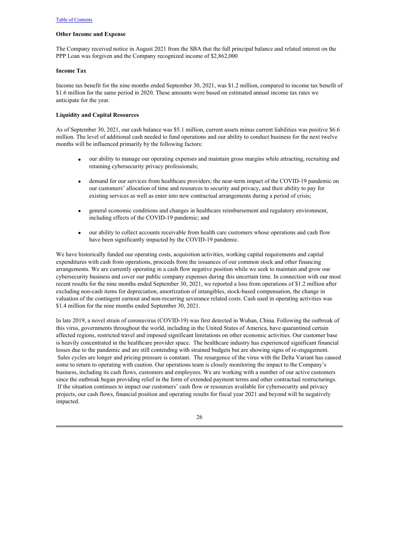## **Other Income and Expense**

The Company received notice in August 2021 from the SBA that the full principal balance and related interest on the PPP Loan was forgiven and the Company recognized income of \$2,862,000

## **Income Tax**

Income tax benefit for the nine months ended September 30, 2021, was \$1.2 million, compared to income tax benefit of \$1.6 million for the same period in 2020. These amounts were based on estimated annual income tax rates we anticipate for the year.

## **Liquidity and Capital Resources**

As of September 30, 2021, our cash balance was \$5.1 million, current assets minus current liabilities was positive \$6.6 million. The level of additional cash needed to fund operations and our ability to conduct business for the next twelve months will be influenced primarily by the following factors:

- our ability to manage our operating expenses and maintain gross margins while attracting, recruiting and retaining cybersecurity privacy professionals;
- demand for our services from healthcare providers; the near-term impact of the COVID-19 pandemic on our customers' allocation of time and resources to security and privacy, and their ability to pay for existing services as well as enter into new contractual arrangements during a period of crisis;
- general economic conditions and changes in healthcare reimbursement and regulatory environment, including effects of the COVID-19 pandemic; and
- our ability to collect accounts receivable from health care customers whose operations and cash flow have been significantly impacted by the COVID-19 pandemic. ·

We have historically funded our operating costs, acquisition activities, working capital requirements and capital expenditures with cash from operations, proceeds from the issuances of our common stock and other financing arrangements. We are currently operating in a cash flow negative position while we seek to maintain and grow our cybersecurity business and cover our public company expenses during this uncertain time. In connection with our most recent results for the nine months ended September 30, 2021, we reported a loss from operations of \$1.2 million after excluding non-cash items for depreciation, amortization of intangibles, stock-based compensation, the change in valuation of the contingent earnout and non-recurring severance related costs. Cash used in operating activities was \$1.4 million for the nine months ended September 30, 2021.

In late 2019, a novel strain of coronavirus (COVID-19) was first detected in Wuhan, China. Following the outbreak of this virus, governments throughout the world, including in the United States of America, have quarantined certain affected regions, restricted travel and imposed significant limitations on other economic activities. Our customer base is heavily concentrated in the healthcare provider space. The healthcare industry has experienced significant financial losses due to the pandemic and are still contending with strained budgets but are showing signs of re-engagement. Sales cycles are longer and pricing pressure is constant. The resurgence of the virus with the Delta Variant has caused some to return to operating with caution. Our operations team is closely monitoring the impact to the Company's business, including its cash flows, customers and employees. We are working with a number of our active customers since the outbreak began providing relief in the form of extended payment terms and other contractual restructurings. If the situation continues to impact our customers' cash flow or resources available for cybersecurity and privacy projects, our cash flows, financial position and operating results for fiscal year 2021 and beyond will be negatively impacted.

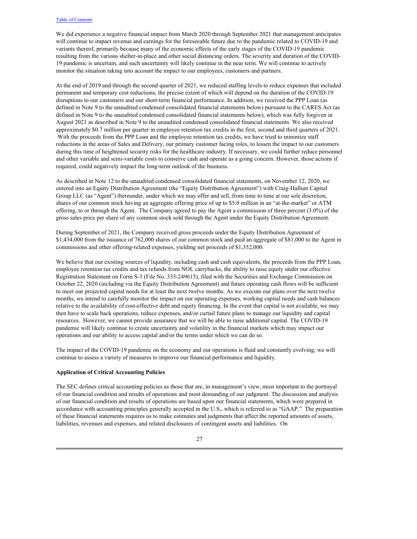We did experience a negative financial impact from March 2020 through September 2021 that management anticipates will continue to impact revenue and earnings for the foreseeable future due to the pandemic related to COVID-19 and variants thereof, primarily because many of the economic effects of the early stages of the COVID-19 pandemic resulting from the various shelter-in-place and other social distancing orders. The severity and duration of the COVID-19 pandemic is uncertain, and such uncertainty will likely continue in the near term. We will continue to actively monitor the situation taking into account the impact to our employees, customers and partners.

At the end of 2019 and through the second quarter of 2021, we reduced staffing levels to reduce expenses that included permanent and temporary cost reductions, the precise extent of which will depend on the duration of the COVID-19 disruptions to our customers and our short-term financial performance. In addition, we received the PPP Loan (as defined in Note 9 to the unaudited condensed consolidated financial statements below) pursuant to the CARES Act (as defined in Note 9 to the unaudited condensed consolidated financial statements below), which was fully forgiven in August 2021 as described in Note 9 to the unaudited condensed consolidated financial statements. We also received approximately \$0.7 million per quarter in employee retention tax credits in the first, second and third quarters of 2021. With the proceeds from the PPP Loan and the employee retention tax credits, we have tried to minimize staff reductions in the areas of Sales and Delivery, our primary customer facing roles, to lessen the impact to our customers during this time of heightened security risks for the healthcare industry. If necessary, we could further reduce personnel and other variable and semi-variable costs to conserve cash and operate as a going concern. However, those actions if required, could negatively impact the long-term outlook of the business.

As described in Note 12 to the unaudited condensed consolidated financial statements, on November 12, 2020, we entered into an Equity Distribution Agreement (the "Equity Distribution Agreement") with Craig-Hallum Capital Group LLC (as "Agent") thereunder, under which we may offer and sell, from time to time at our sole discretion, shares of our common stock having an aggregate offering price of up to \$5.0 million in an "at-the-market" or ATM offering, to or through the Agent. The Company agreed to pay the Agent a commission of three percent (3.0%) of the gross sales price per share of any common stock sold through the Agent under the Equity Distribution Agreement.

During September of 2021, the Company received gross proceeds under the Equity Distribution Agreement of \$1,434,000 from the issuance of 762,000 shares of our common stock and paid an aggregate of \$81,000 to the Agent in commissions and other offering-related expenses, yielding net proceeds of \$1,352,000.

We believe that our existing sources of liquidity, including cash and cash equivalents, the proceeds from the PPP Loan, employee retention tax credits and tax refunds from NOL carrybacks, the ability to raise equity under our effective Registration Statement on Form S-3 (File No. 333-249615), filed with the Securities and Exchange Commission on October 22, 2020 (including via the Equity Distribution Agreement) and future operating cash flows will be sufficient to meet our projected capital needs for at least the next twelve months. As we execute our plans over the next twelve months, we intend to carefully monitor the impact on our operating expenses, working capital needs and cash balances relative to the availability of cost-effective debt and equity financing. In the event that capital is not available, we may then have to scale back operations, reduce expenses, and/or curtail future plans to manage our liquidity and capital resources. However, we cannot provide assurance that we will be able to raise additional capital. The COVID-19 pandemic will likely continue to create uncertainty and volatility in the financial markets which may impact our operations and our ability to access capital and/or the terms under which we can do so.

The impact of the COVID-19 pandemic on the economy and our operations is fluid and constantly evolving; we will continue to assess a variety of measures to improve our financial performance and liquidity.

## **Application of Critical Accounting Policies**

The SEC defines critical accounting policies as those that are, in management's view, most important to the portrayal of our financial condition and results of operations and most demanding of our judgment. The discussion and analysis of our financial condition and results of operations are based upon our financial statements, which were prepared in accordance with accounting principles generally accepted in the U.S., which is referred to as "GAAP." The preparation of these financial statements requires us to make estimates and judgments that affect the reported amounts of assets, liabilities, revenues and expenses, and related disclosures of contingent assets and liabilities. On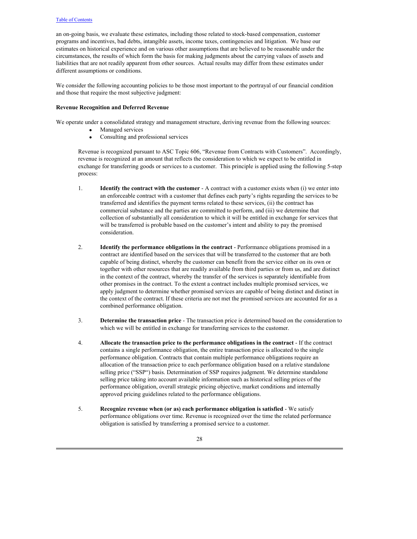an on-going basis, we evaluate these estimates, including those related to stock-based compensation, customer programs and incentives, bad debts, intangible assets, income taxes, contingencies and litigation. We base our estimates on historical experience and on various other assumptions that are believed to be reasonable under the circumstances, the results of which form the basis for making judgments about the carrying values of assets and liabilities that are not readily apparent from other sources. Actual results may differ from these estimates under different assumptions or conditions.

We consider the following accounting policies to be those most important to the portrayal of our financial condition and those that require the most subjective judgment:

## **Revenue Recognition and Deferred Revenue**

We operate under a consolidated strategy and management structure, deriving revenue from the following sources:

- Managed services
- Consulting and professional services

Revenue is recognized pursuant to ASC Topic 606, "Revenue from Contracts with Customers". Accordingly, revenue is recognized at an amount that reflects the consideration to which we expect to be entitled in exchange for transferring goods or services to a customer. This principle is applied using the following 5-step process:

- **Identify the contract with the customer** A contract with a customer exists when (i) we enter into 1. an enforceable contract with a customer that defines each party's rights regarding the services to be transferred and identifies the payment terms related to these services, (ii) the contract has commercial substance and the parties are committed to perform, and (iii) we determine that collection of substantially all consideration to which it will be entitled in exchange for services that will be transferred is probable based on the customer's intent and ability to pay the promised consideration.
- **Identify the performance obligations in the contract** Performance obligations promised in a 2. contract are identified based on the services that will be transferred to the customer that are both capable of being distinct, whereby the customer can benefit from the service either on its own or together with other resources that are readily available from third parties or from us, and are distinct in the context of the contract, whereby the transfer of the services is separately identifiable from other promises in the contract. To the extent a contract includes multiple promised services, we apply judgment to determine whether promised services are capable of being distinct and distinct in the context of the contract. If these criteria are not met the promised services are accounted for as a combined performance obligation.
- **Determine the transaction price** The transaction price is determined based on the consideration to 3. which we will be entitled in exchange for transferring services to the customer.
- **Allocate the transaction price to the performance obligations in the contract** If the contract 4. contains a single performance obligation, the entire transaction price is allocated to the single performance obligation. Contracts that contain multiple performance obligations require an allocation of the transaction price to each performance obligation based on a relative standalone selling price ("SSP") basis. Determination of SSP requires judgment. We determine standalone selling price taking into account available information such as historical selling prices of the performance obligation, overall strategic pricing objective, market conditions and internally approved pricing guidelines related to the performance obligations.
- **Recognize revenue when (or as) each performance obligation is satisfied** We satisfy performance obligations over time. Revenue is recognized over the time the related performance obligation is satisfied by transferring a promised service to a customer. 5.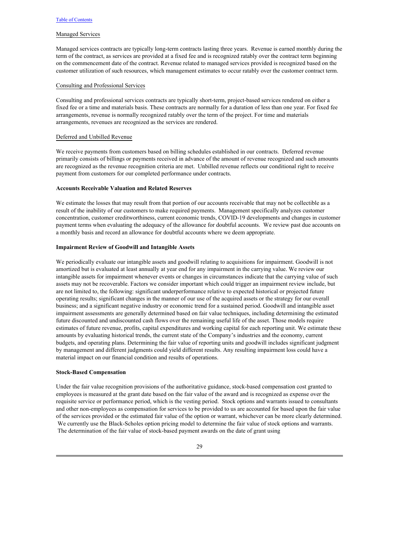## Managed Services

Managed services contracts are typically long-term contracts lasting three years. Revenue is earned monthly during the term of the contract, as services are provided at a fixed fee and is recognized ratably over the contract term beginning on the commencement date of the contract. Revenue related to managed services provided is recognized based on the customer utilization of such resources, which management estimates to occur ratably over the customer contract term.

## Consulting and Professional Services

Consulting and professional services contracts are typically short-term, project-based services rendered on either a fixed fee or a time and materials basis. These contracts are normally for a duration of less than one year. For fixed fee arrangements, revenue is normally recognized ratably over the term of the project. For time and materials arrangements, revenues are recognized as the services are rendered.

## Deferred and Unbilled Revenue

We receive payments from customers based on billing schedules established in our contracts. Deferred revenue primarily consists of billings or payments received in advance of the amount of revenue recognized and such amounts are recognized as the revenue recognition criteria are met. Unbilled revenue reflects our conditional right to receive payment from customers for our completed performance under contracts.

## **Accounts Receivable Valuation and Related Reserves**

We estimate the losses that may result from that portion of our accounts receivable that may not be collectible as a result of the inability of our customers to make required payments. Management specifically analyzes customer concentration, customer creditworthiness, current economic trends, COVID-19 developments and changes in customer payment terms when evaluating the adequacy of the allowance for doubtful accounts. We review past due accounts on a monthly basis and record an allowance for doubtful accounts where we deem appropriate.

## **Impairment Review of Goodwill and Intangible Assets**

We periodically evaluate our intangible assets and goodwill relating to acquisitions for impairment. Goodwill is not amortized but is evaluated at least annually at year end for any impairment in the carrying value. We review our intangible assets for impairment whenever events or changes in circumstances indicate that the carrying value of such assets may not be recoverable. Factors we consider important which could trigger an impairment review include, but are not limited to, the following: significant underperformance relative to expected historical or projected future operating results; significant changes in the manner of our use of the acquired assets or the strategy for our overall business; and a significant negative industry or economic trend for a sustained period. Goodwill and intangible asset impairment assessments are generally determined based on fair value techniques, including determining the estimated future discounted and undiscounted cash flows over the remaining useful life of the asset. Those models require estimates of future revenue, profits, capital expenditures and working capital for each reporting unit. We estimate these amounts by evaluating historical trends, the current state of the Company's industries and the economy, current budgets, and operating plans. Determining the fair value of reporting units and goodwill includes significant judgment by management and different judgments could yield different results. Any resulting impairment loss could have a material impact on our financial condition and results of operations.

## **Stock-Based Compensation**

Under the fair value recognition provisions of the authoritative guidance, stock-based compensation cost granted to employees is measured at the grant date based on the fair value of the award and is recognized as expense over the requisite service or performance period, which is the vesting period. Stock options and warrants issued to consultants and other non-employees as compensation for services to be provided to us are accounted for based upon the fair value of the services provided or the estimated fair value of the option or warrant, whichever can be more clearly determined. We currently use the Black-Scholes option pricing model to determine the fair value of stock options and warrants. The determination of the fair value of stock-based payment awards on the date of grant using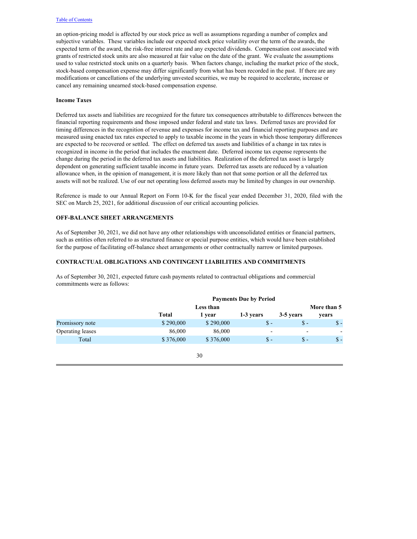an option-pricing model is affected by our stock price as well as assumptions regarding a number of complex and subjective variables. These variables include our expected stock price volatility over the term of the awards, the expected term of the award, the risk-free interest rate and any expected dividends. Compensation cost associated with grants of restricted stock units are also measured at fair value on the date of the grant. We evaluate the assumptions used to value restricted stock units on a quarterly basis. When factors change, including the market price of the stock, stock-based compensation expense may differ significantly from what has been recorded in the past. If there are any modifications or cancellations of the underlying unvested securities, we may be required to accelerate, increase or cancel any remaining unearned stock-based compensation expense.

## **Income Taxes**

Deferred tax assets and liabilities are recognized for the future tax consequences attributable to differences between the financial reporting requirements and those imposed under federal and state tax laws. Deferred taxes are provided for timing differences in the recognition of revenue and expenses for income tax and financial reporting purposes and are measured using enacted tax rates expected to apply to taxable income in the years in which those temporary differences are expected to be recovered or settled. The effect on deferred tax assets and liabilities of a change in tax rates is recognized in income in the period that includes the enactment date. Deferred income tax expense represents the change during the period in the deferred tax assets and liabilities. Realization of the deferred tax asset is largely dependent on generating sufficient taxable income in future years. Deferred tax assets are reduced by a valuation allowance when, in the opinion of management, it is more likely than not that some portion or all the deferred tax assets will not be realized. Use of our net operating loss deferred assets may be limited by changes in our ownership.

Reference is made to our Annual Report on Form 10-K for the fiscal year ended December 31, 2020, filed with the SEC on March 25, 2021, for additional discussion of our critical accounting policies.

## **OFF-BALANCE SHEET ARRANGEMENTS**

As of September 30, 2021, we did not have any other relationships with unconsolidated entities or financial partners, such as entities often referred to as structured finance or special purpose entities, which would have been established for the purpose of facilitating off-balance sheet arrangements or other contractually narrow or limited purposes.

## **CONTRACTUAL OBLIGATIONS AND CONTINGENT LIABILITIES AND COMMITMENTS**

As of September 30, 2021, expected future cash payments related to contractual obligations and commercial commitments were as follows:

|                  |              |             | <b>Payments Due by Period</b> |                          |                          |
|------------------|--------------|-------------|-------------------------------|--------------------------|--------------------------|
|                  |              | Less than   |                               |                          | More than 5              |
|                  | <b>Total</b> | <b>vear</b> | 1-3 years                     | 3-5 years                | years                    |
| Promissory note  | \$290,000    | \$290,000   | \$ -                          | $\Delta$                 |                          |
| Operating leases | 86,000       | 86,000      | $\overline{\phantom{0}}$      | $\overline{\phantom{0}}$ | $\overline{\phantom{0}}$ |
| Total            | \$376,000    | \$376,000   | ১ -                           | $\mathbf{D}$ =           | $\rightarrow$            |
|                  |              |             |                               |                          |                          |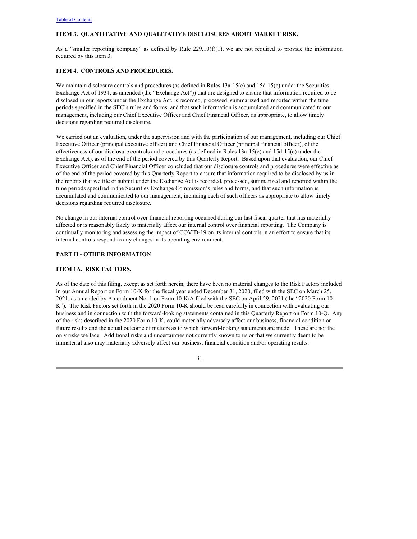## <span id="page-31-0"></span>**ITEM 3. QUANTITATIVE AND QUALITATIVE DISCLOSURES ABOUT MARKET RISK.**

required by this Item 3.

## <span id="page-31-1"></span>**ITEM 4. CONTROLS AND PROCEDURES.**

Tableof Contents<br>
As a "smaller reporting company" as defined by Rule 229.10(f)(1), we are not required to provide the information<br>
required by this Item 3.<br> **ITEM 4. CONTROLS AND PROCEDURES.**<br>
We maintain disclosure cont We maintain disclosure controls and procedures (as defined in Rules 13a-15(c) and 15d-15(e) under the Securities Exchange Act of 1934, as amended (the "Exchange Act")) that are designed to ensure that information required to be disclosed in our reports under the Exchange Act, is recorded, processed, summarized and reported within the time periods specified in the SEC's rules and forms, and that such information is accumulated and communicated to our management, including our Chief Executive Officer and Chief Financial Officer, as appropriate, to allow timely decisions regarding required disclosure.

We carried out an evaluation, under the supervision and with the participation of our management, including our Chief Executive Officer (principal executive officer) and Chief Financial Officer (principal financial officer), of the effectiveness of our disclosure controls and procedures (as defined in Rules 13a-15(e) and 15d-15(e) under the Exchange Act), as of the end of the period covered by this Quarterly Report. Based upon that evaluation, our Chief Executive Officer and Chief Financial Officer concluded that our disclosure controls and procedures were effective as of the end of the period covered by this Quarterly Report to ensure that information required to be disclosed by us in the reports that we file or submit under the Exchange Act is recorded, processed, summarized and reported within the time periods specified in the Securities Exchange Commission's rules and forms, and that such information is accumulated and communicated to our management, including each of such officers as appropriate to allow timely decisions regarding required disclosure.

No change in our internal control over financial reporting occurred during our last fiscal quarter that has materially affected or is reasonably likely to materially affect our internal control over financial reporting. The Company is continually monitoring and assessing the impact of COVID-19 on its internal controls in an effort to ensure that its internal controls respond to any changes in its operating environment.

## <span id="page-31-2"></span>**PART II - OTHER INFORMATION**

## <span id="page-31-3"></span>**ITEM 1A. RISK FACTORS.**

As of the date of this filing, except as set forth herein, there have been no material changes to the Risk Factors included in our Annual Report on Form 10-K for the fiscal year ended December 31, 2020, filed with the SEC on March 25, 2021, as amended by Amendment No. 1 on Form 10-K/A filed with the SEC on April 29, 2021 (the "2020 Form 10- K"). The Risk Factors set forth in the 2020 Form 10-K should be read carefully in connection with evaluating our business and in connection with the forward-looking statements contained in this Quarterly Report on Form 10-Q. Any of the risks described in the 2020 Form 10-K, could materially adversely affect our business, financial condition or future results and the actual outcome of matters as to which forward-looking statements are made. These are not the only risks we face. Additional risks and uncertainties not currently known to us or that we currently deem to be immaterial also may materially adversely affect our business, financial condition and/or operating results.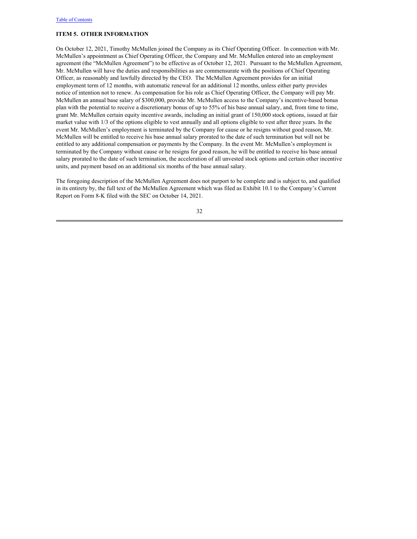## **ITEM 5. OTHER INFORMATION**

On October 12, 2021, Timothy McMullen joined the Company as its Chief Operating Officer. In connection with Mr. McMullen's appointment as Chief Operating Officer, the Company and Mr. McMullen entered into an employment agreement (the "McMullen Agreement") to be effective as of October 12, 2021. Pursuant to the McMullen Agreement, Mr. McMullen will have the duties and responsibilities as are commensurate with the positions of Chief Operating Officer, as reasonably and lawfully directed by the CEO. The McMullen Agreement provides for an initial employment term of 12 months, with automatic renewal for an additional 12 months, unless either party provides notice of intention not to renew. As compensation for his role as Chief Operating Officer, the Company will pay Mr. McMullen an annual base salary of \$300,000, provide Mr. McMullen access to the Company's incentive-based bonus plan with the potential to receive a discretionary bonus of up to 55% of his base annual salary, and, from time to time, grant Mr. McMullen certain equity incentive awards, including an initial grant of 150,000 stock options, issued at fair market value with 1/3 of the options eligible to vest annually and all options eligible to vest after three years. In the event Mr. McMullen's employment is terminated by the Company for cause or he resigns without good reason, Mr. McMullen will be entitled to receive his base annual salary prorated to the date of such termination but will not be entitled to any additional compensation or payments by the Company. In the event Mr. McMullen's employment is terminated by the Company without cause or he resigns for good reason, he will be entitled to receive his base annual salary prorated to the date of such termination, the acceleration of all unvested stock options and certain other incentive units, and payment based on an additional six months of the base annual salary.

The foregoing description of the McMullen Agreement does not purport to be complete and is subject to, and qualified in its entirety by, the full text of the McMullen Agreement which was filed as Exhibit 10.1 to the Company's Current Report on Form 8-K filed with the SEC on October 14, 2021.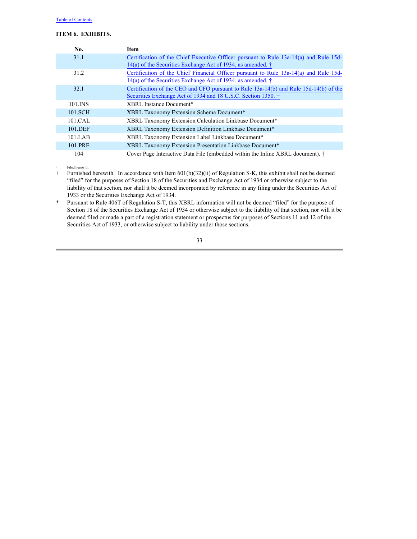## <span id="page-33-0"></span>**ITEM 6. EXHIBITS.**

| <b>Table of Contents</b> |                                                                                                                                                        |
|--------------------------|--------------------------------------------------------------------------------------------------------------------------------------------------------|
| ITEM 6. EXHIBITS.        |                                                                                                                                                        |
|                          |                                                                                                                                                        |
| No.                      | Item                                                                                                                                                   |
| 31.1                     | Certification of the Chief Executive Officer pursuant to Rule 13a-14(a) and Rule 15d-                                                                  |
|                          | 14(a) of the Securities Exchange Act of 1934, as amended. †                                                                                            |
| 31.2                     | Certification of the Chief Financial Officer pursuant to Rule 13a-14(a) and Rule 15d-<br>14(a) of the Securities Exchange Act of 1934, as amended. †   |
| 32.1                     |                                                                                                                                                        |
|                          | Certification of the CEO and CFO pursuant to Rule 13a-14(b) and Rule 15d-14(b) of the<br>Securities Exchange Act of 1934 and 18 U.S.C. Section 1350. + |
| 101.INS                  | XBRL Instance Document*                                                                                                                                |
| 101.SCH                  | XBRL Taxonomy Extension Schema Document*                                                                                                               |
| 101.CAL                  | XBRL Taxonomy Extension Calculation Linkbase Document*                                                                                                 |
| 101.DEF                  | XBRL Taxonomy Extension Definition Linkbase Document*                                                                                                  |
| 101.LAB                  | XBRL Taxonomy Extension Label Linkbase Document*                                                                                                       |
| 101.PRE                  | XBRL Taxonomy Extension Presentation Linkbase Document*                                                                                                |

Filed herewith.

Furnished herewith. In accordance with Item 601(b)(32)(ii) of Regulation S-K, this exhibit shall not be deemed + "filed" for the purposes of Section 18 of the Securities and Exchange Act of 1934 or otherwise subject to the liability of that section, nor shall it be deemed incorporated by reference in any filing under the Securities Act of 1933 or the Securities Exchange Act of 1934.

Pursuant to Rule 406T of Regulation S-T, this XBRL information will not be deemed "filed" for the purpose of Section 18 of the Securities Exchange Act of 1934 or otherwise subject to the liability of that section, nor will it be deemed filed or made a part of a registration statement or prospectus for purposes of Sections 11 and 12 of the Securities Act of 1933, or otherwise subject to liability under those sections. \*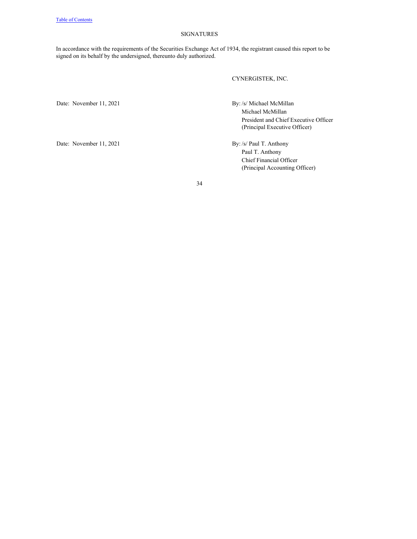## SIGNATURES

In accordance with the requirements of the Securities Exchange Act of 1934, the registrant caused this report to be signed on its behalf by the undersigned, thereunto duly authorized.

CYNERGISTEK, INC.

Date: November 11, 2021 By: /s/ Michael McMillan

Michael McMillan President and Chief Executive Officer (Principal Executive Officer)

Date: November 11, 2021 By: /s/ Paul T. Anthony

Paul T. Anthony Chief Financial Officer (Principal Accounting Officer)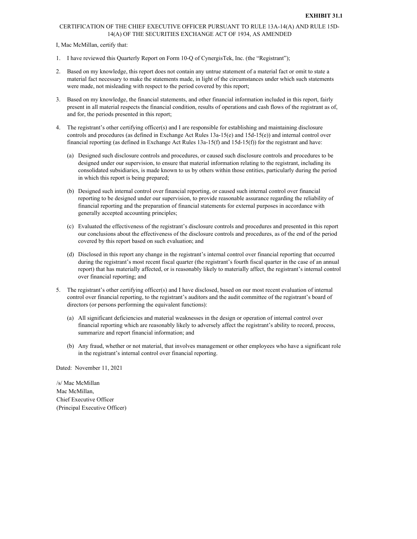## <span id="page-35-0"></span>CERTIFICATION OF THE CHIEF EXECUTIVE OFFICER PURSUANT TO RULE 13A-14(A) AND RULE 15D-14(A) OF THE SECURITIES EXCHANGE ACT OF 1934, AS AMENDED

I, Mac McMillan, certify that:

- 1. I have reviewed this Quarterly Report on Form 10-Q of CynergisTek, Inc. (the "Registrant");
- 2. Based on my knowledge, this report does not contain any untrue statement of a material fact or omit to state a material fact necessary to make the statements made, in light of the circumstances under which such statements were made, not misleading with respect to the period covered by this report;
- 3. Based on my knowledge, the financial statements, and other financial information included in this report, fairly present in all material respects the financial condition, results of operations and cash flows of the registrant as of, and for, the periods presented in this report;
- 4. The registrant's other certifying officer(s) and I are responsible for establishing and maintaining disclosure controls and procedures (as defined in Exchange Act Rules 13a-15(e) and 15d-15(e)) and internal control over financial reporting (as defined in Exchange Act Rules 13a-15(f) and 15d-15(f)) for the registrant and have:
	- (a) Designed such disclosure controls and procedures, or caused such disclosure controls and procedures to be designed under our supervision, to ensure that material information relating to the registrant, including its consolidated subsidiaries, is made known to us by others within those entities, particularly during the period in which this report is being prepared;
	- (b) Designed such internal control over financial reporting, or caused such internal control over financial reporting to be designed under our supervision, to provide reasonable assurance regarding the reliability of financial reporting and the preparation of financial statements for external purposes in accordance with generally accepted accounting principles;
	- Evaluated the effectiveness of the registrant's disclosure controls and procedures and presented in this report (c) our conclusions about the effectiveness of the disclosure controls and procedures, as of the end of the period covered by this report based on such evaluation; and
	- (d) Disclosed in this report any change in the registrant's internal control over financial reporting that occurred during the registrant's most recent fiscal quarter (the registrant's fourth fiscal quarter in the case of an annual report) that has materially affected, or is reasonably likely to materially affect, the registrant's internal control over financial reporting; and
- 5. The registrant's other certifying officer(s) and I have disclosed, based on our most recent evaluation of internal control over financial reporting, to the registrant's auditors and the audit committee of the registrant's board of directors (or persons performing the equivalent functions):
	- (a) All significant deficiencies and material weaknesses in the design or operation of internal control over financial reporting which are reasonably likely to adversely affect the registrant's ability to record, process, summarize and report financial information; and
	- (b) Any fraud, whether or not material, that involves management or other employees who have a significant role in the registrant's internal control over financial reporting.

Dated: November 11, 2021

/s/ Mac McMillan Mac McMillan, Chief Executive Officer (Principal Executive Officer)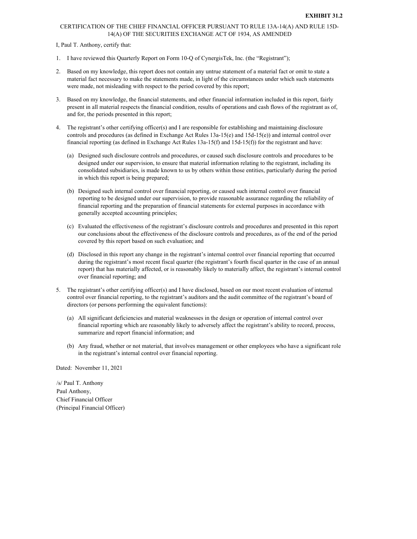## <span id="page-36-0"></span>CERTIFICATION OF THE CHIEF FINANCIAL OFFICER PURSUANT TO RULE 13A-14(A) AND RULE 15D-14(A) OF THE SECURITIES EXCHANGE ACT OF 1934, AS AMENDED

I, Paul T. Anthony, certify that:

- 1. I have reviewed this Quarterly Report on Form 10-Q of CynergisTek, Inc. (the "Registrant");
- 2. Based on my knowledge, this report does not contain any untrue statement of a material fact or omit to state a material fact necessary to make the statements made, in light of the circumstances under which such statements were made, not misleading with respect to the period covered by this report;
- 3. Based on my knowledge, the financial statements, and other financial information included in this report, fairly present in all material respects the financial condition, results of operations and cash flows of the registrant as of, and for, the periods presented in this report;
- 4. The registrant's other certifying officer(s) and I are responsible for establishing and maintaining disclosure controls and procedures (as defined in Exchange Act Rules 13a-15(e) and 15d-15(e)) and internal control over financial reporting (as defined in Exchange Act Rules 13a-15(f) and 15d-15(f)) for the registrant and have:
	- (a) Designed such disclosure controls and procedures, or caused such disclosure controls and procedures to be designed under our supervision, to ensure that material information relating to the registrant, including its consolidated subsidiaries, is made known to us by others within those entities, particularly during the period in which this report is being prepared;
	- (b) Designed such internal control over financial reporting, or caused such internal control over financial reporting to be designed under our supervision, to provide reasonable assurance regarding the reliability of financial reporting and the preparation of financial statements for external purposes in accordance with generally accepted accounting principles;
	- Evaluated the effectiveness of the registrant's disclosure controls and procedures and presented in this report (c) our conclusions about the effectiveness of the disclosure controls and procedures, as of the end of the period covered by this report based on such evaluation; and
	- (d) Disclosed in this report any change in the registrant's internal control over financial reporting that occurred during the registrant's most recent fiscal quarter (the registrant's fourth fiscal quarter in the case of an annual report) that has materially affected, or is reasonably likely to materially affect, the registrant's internal control over financial reporting; and
- 5. The registrant's other certifying officer(s) and I have disclosed, based on our most recent evaluation of internal control over financial reporting, to the registrant's auditors and the audit committee of the registrant's board of directors (or persons performing the equivalent functions):
	- (a) All significant deficiencies and material weaknesses in the design or operation of internal control over financial reporting which are reasonably likely to adversely affect the registrant's ability to record, process, summarize and report financial information; and
	- (b) Any fraud, whether or not material, that involves management or other employees who have a significant role in the registrant's internal control over financial reporting.

Dated: November 11, 2021

/s/ Paul T. Anthony Paul Anthony, Chief Financial Officer (Principal Financial Officer)